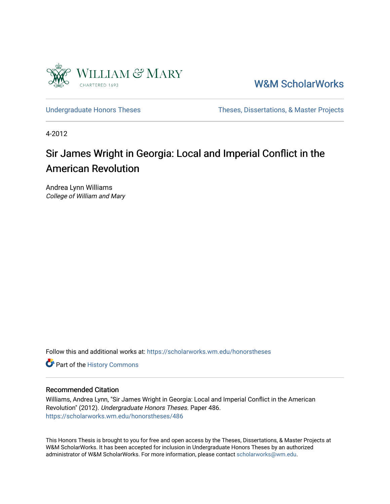

[W&M ScholarWorks](https://scholarworks.wm.edu/) 

[Undergraduate Honors Theses](https://scholarworks.wm.edu/honorstheses) Theses Theses, Dissertations, & Master Projects

4-2012

# Sir James Wright in Georgia: Local and Imperial Conflict in the American Revolution

Andrea Lynn Williams College of William and Mary

Follow this and additional works at: [https://scholarworks.wm.edu/honorstheses](https://scholarworks.wm.edu/honorstheses?utm_source=scholarworks.wm.edu%2Fhonorstheses%2F486&utm_medium=PDF&utm_campaign=PDFCoverPages) 

Part of the [History Commons](http://network.bepress.com/hgg/discipline/489?utm_source=scholarworks.wm.edu%2Fhonorstheses%2F486&utm_medium=PDF&utm_campaign=PDFCoverPages) 

## Recommended Citation

Williams, Andrea Lynn, "Sir James Wright in Georgia: Local and Imperial Conflict in the American Revolution" (2012). Undergraduate Honors Theses. Paper 486. [https://scholarworks.wm.edu/honorstheses/486](https://scholarworks.wm.edu/honorstheses/486?utm_source=scholarworks.wm.edu%2Fhonorstheses%2F486&utm_medium=PDF&utm_campaign=PDFCoverPages) 

This Honors Thesis is brought to you for free and open access by the Theses, Dissertations, & Master Projects at W&M ScholarWorks. It has been accepted for inclusion in Undergraduate Honors Theses by an authorized administrator of W&M ScholarWorks. For more information, please contact [scholarworks@wm.edu.](mailto:scholarworks@wm.edu)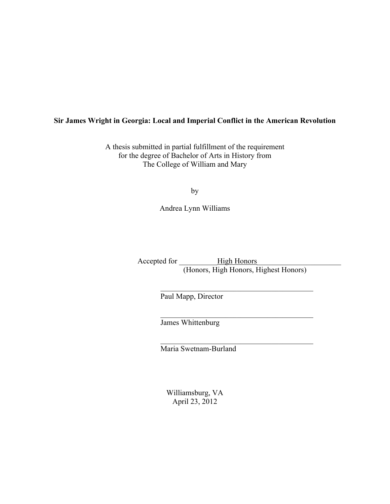# **Sir James Wright in Georgia: Local and Imperial Conflict in the American Revolution**

A thesis submitted in partial fulfillment of the requirement for the degree of Bachelor of Arts in History from The College of William and Mary

by

Andrea Lynn Williams

Accepted for \_\_\_\_\_\_\_\_\_\_High Honors\_\_\_\_\_\_\_\_\_\_\_\_\_\_\_\_\_\_\_\_\_\_ (Honors, High Honors, Highest Honors)

 $\mathcal{L}_\text{max}$ 

 $\mathcal{L}_\text{max}$  , and the contract of the contract of the contract of the contract of the contract of the contract of the contract of the contract of the contract of the contract of the contract of the contract of the contr

 $\mathcal{L}_\text{max}$ 

Paul Mapp, Director

James Whittenburg

Maria Swetnam-Burland

Williamsburg, VA April 23, 2012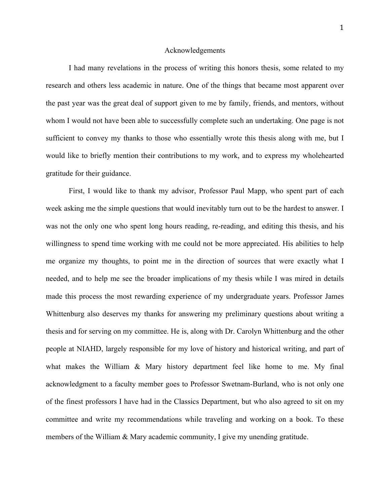#### Acknowledgements

I had many revelations in the process of writing this honors thesis, some related to my research and others less academic in nature. One of the things that became most apparent over the past year was the great deal of support given to me by family, friends, and mentors, without whom I would not have been able to successfully complete such an undertaking. One page is not sufficient to convey my thanks to those who essentially wrote this thesis along with me, but I would like to briefly mention their contributions to my work, and to express my wholehearted gratitude for their guidance.

First, I would like to thank my advisor, Professor Paul Mapp, who spent part of each week asking me the simple questions that would inevitably turn out to be the hardest to answer. I was not the only one who spent long hours reading, re-reading, and editing this thesis, and his willingness to spend time working with me could not be more appreciated. His abilities to help me organize my thoughts, to point me in the direction of sources that were exactly what I needed, and to help me see the broader implications of my thesis while I was mired in details made this process the most rewarding experience of my undergraduate years. Professor James Whittenburg also deserves my thanks for answering my preliminary questions about writing a thesis and for serving on my committee. He is, along with Dr. Carolyn Whittenburg and the other people at NIAHD, largely responsible for my love of history and historical writing, and part of what makes the William & Mary history department feel like home to me. My final acknowledgment to a faculty member goes to Professor Swetnam-Burland, who is not only one of the finest professors I have had in the Classics Department, but who also agreed to sit on my committee and write my recommendations while traveling and working on a book. To these members of the William & Mary academic community, I give my unending gratitude.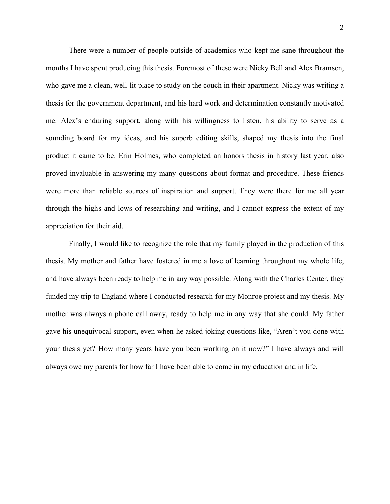There were a number of people outside of academics who kept me sane throughout the months I have spent producing this thesis. Foremost of these were Nicky Bell and Alex Bramsen, who gave me a clean, well-lit place to study on the couch in their apartment. Nicky was writing a thesis for the government department, and his hard work and determination constantly motivated me. Alex's enduring support, along with his willingness to listen, his ability to serve as a sounding board for my ideas, and his superb editing skills, shaped my thesis into the final product it came to be. Erin Holmes, who completed an honors thesis in history last year, also proved invaluable in answering my many questions about format and procedure. These friends were more than reliable sources of inspiration and support. They were there for me all year through the highs and lows of researching and writing, and I cannot express the extent of my appreciation for their aid.

Finally, I would like to recognize the role that my family played in the production of this thesis. My mother and father have fostered in me a love of learning throughout my whole life, and have always been ready to help me in any way possible. Along with the Charles Center, they funded my trip to England where I conducted research for my Monroe project and my thesis. My mother was always a phone call away, ready to help me in any way that she could. My father gave his unequivocal support, even when he asked joking questions like, "Aren't you done with your thesis yet? How many years have you been working on it now?" I have always and will always owe my parents for how far I have been able to come in my education and in life.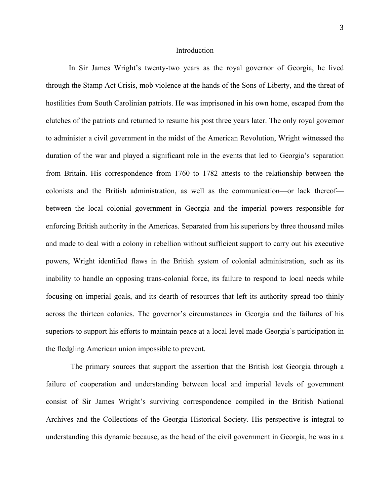#### Introduction

In Sir James Wright's twenty-two years as the royal governor of Georgia, he lived through the Stamp Act Crisis, mob violence at the hands of the Sons of Liberty, and the threat of hostilities from South Carolinian patriots. He was imprisoned in his own home, escaped from the clutches of the patriots and returned to resume his post three years later. The only royal governor to administer a civil government in the midst of the American Revolution, Wright witnessed the duration of the war and played a significant role in the events that led to Georgia's separation from Britain. His correspondence from 1760 to 1782 attests to the relationship between the colonists and the British administration, as well as the communication—or lack thereof between the local colonial government in Georgia and the imperial powers responsible for enforcing British authority in the Americas. Separated from his superiors by three thousand miles and made to deal with a colony in rebellion without sufficient support to carry out his executive powers, Wright identified flaws in the British system of colonial administration, such as its inability to handle an opposing trans-colonial force, its failure to respond to local needs while focusing on imperial goals, and its dearth of resources that left its authority spread too thinly across the thirteen colonies. The governor's circumstances in Georgia and the failures of his superiors to support his efforts to maintain peace at a local level made Georgia's participation in the fledgling American union impossible to prevent.

 The primary sources that support the assertion that the British lost Georgia through a failure of cooperation and understanding between local and imperial levels of government consist of Sir James Wright's surviving correspondence compiled in the British National Archives and the Collections of the Georgia Historical Society. His perspective is integral to understanding this dynamic because, as the head of the civil government in Georgia, he was in a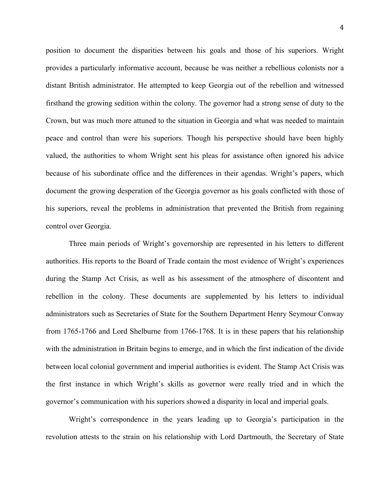position to document the disparities between his goals and those of his superiors. Wright provides a particularly informative account, because he was neither a rebellious colonists nor a distant British administrator. He attempted to keep Georgia out of the rebellion and witnessed firsthand the growing sedition within the colony. The governor had a strong sense of duty to the Crown, but was much more attuned to the situation in Georgia and what was needed to maintain peace and control than were his superiors. Though his perspective should have been highly valued, the authorities to whom Wright sent his pleas for assistance often ignored his advice because of his subordinate office and the differences in their agendas. Wright's papers, which document the growing desperation of the Georgia governor as his goals conflicted with those of his superiors, reveal the problems in administration that prevented the British from regaining control over Georgia.

Three main periods of Wright's governorship are represented in his letters to different authorities. His reports to the Board of Trade contain the most evidence of Wright's experiences during the Stamp Act Crisis, as well as his assessment of the atmosphere of discontent and rebellion in the colony. These documents are supplemented by his letters to individual administrators such as Secretaries of State for the Southern Department Henry Seymour Conway from 1765-1766 and Lord Shelburne from 1766-1768. It is in these papers that his relationship with the administration in Britain begins to emerge, and in which the first indication of the divide between local colonial government and imperial authorities is evident. The Stamp Act Crisis was the first instance in which Wright's skills as governor were really tried and in which the governor's communication with his superiors showed a disparity in local and imperial goals.

Wright's correspondence in the years leading up to Georgia's participation in the revolution attests to the strain on his relationship with Lord Dartmouth, the Secretary of State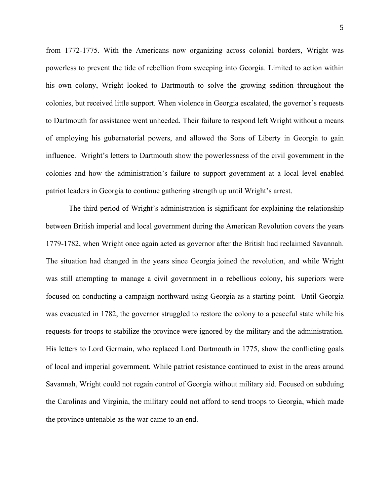from 1772-1775. With the Americans now organizing across colonial borders, Wright was powerless to prevent the tide of rebellion from sweeping into Georgia. Limited to action within his own colony, Wright looked to Dartmouth to solve the growing sedition throughout the colonies, but received little support. When violence in Georgia escalated, the governor's requests to Dartmouth for assistance went unheeded. Their failure to respond left Wright without a means of employing his gubernatorial powers, and allowed the Sons of Liberty in Georgia to gain influence. Wright's letters to Dartmouth show the powerlessness of the civil government in the colonies and how the administration's failure to support government at a local level enabled patriot leaders in Georgia to continue gathering strength up until Wright's arrest.

The third period of Wright's administration is significant for explaining the relationship between British imperial and local government during the American Revolution covers the years 1779-1782, when Wright once again acted as governor after the British had reclaimed Savannah. The situation had changed in the years since Georgia joined the revolution, and while Wright was still attempting to manage a civil government in a rebellious colony, his superiors were focused on conducting a campaign northward using Georgia as a starting point. Until Georgia was evacuated in 1782, the governor struggled to restore the colony to a peaceful state while his requests for troops to stabilize the province were ignored by the military and the administration. His letters to Lord Germain, who replaced Lord Dartmouth in 1775, show the conflicting goals of local and imperial government. While patriot resistance continued to exist in the areas around Savannah, Wright could not regain control of Georgia without military aid. Focused on subduing the Carolinas and Virginia, the military could not afford to send troops to Georgia, which made the province untenable as the war came to an end.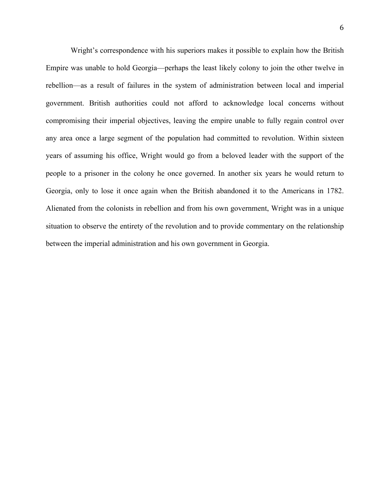Wright's correspondence with his superiors makes it possible to explain how the British Empire was unable to hold Georgia—perhaps the least likely colony to join the other twelve in rebellion—as a result of failures in the system of administration between local and imperial government. British authorities could not afford to acknowledge local concerns without compromising their imperial objectives, leaving the empire unable to fully regain control over any area once a large segment of the population had committed to revolution. Within sixteen years of assuming his office, Wright would go from a beloved leader with the support of the people to a prisoner in the colony he once governed. In another six years he would return to Georgia, only to lose it once again when the British abandoned it to the Americans in 1782. Alienated from the colonists in rebellion and from his own government, Wright was in a unique situation to observe the entirety of the revolution and to provide commentary on the relationship between the imperial administration and his own government in Georgia.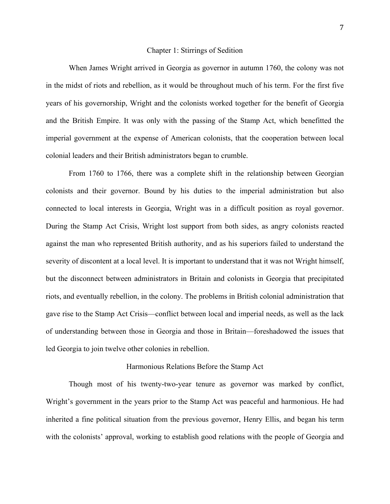### Chapter 1: Stirrings of Sedition

When James Wright arrived in Georgia as governor in autumn 1760, the colony was not in the midst of riots and rebellion, as it would be throughout much of his term. For the first five years of his governorship, Wright and the colonists worked together for the benefit of Georgia and the British Empire. It was only with the passing of the Stamp Act, which benefitted the imperial government at the expense of American colonists, that the cooperation between local colonial leaders and their British administrators began to crumble.

From 1760 to 1766, there was a complete shift in the relationship between Georgian colonists and their governor. Bound by his duties to the imperial administration but also connected to local interests in Georgia, Wright was in a difficult position as royal governor. During the Stamp Act Crisis, Wright lost support from both sides, as angry colonists reacted against the man who represented British authority, and as his superiors failed to understand the severity of discontent at a local level. It is important to understand that it was not Wright himself, but the disconnect between administrators in Britain and colonists in Georgia that precipitated riots, and eventually rebellion, in the colony. The problems in British colonial administration that gave rise to the Stamp Act Crisis—conflict between local and imperial needs, as well as the lack of understanding between those in Georgia and those in Britain—foreshadowed the issues that led Georgia to join twelve other colonies in rebellion.

#### Harmonious Relations Before the Stamp Act

Though most of his twenty-two-year tenure as governor was marked by conflict, Wright's government in the years prior to the Stamp Act was peaceful and harmonious. He had inherited a fine political situation from the previous governor, Henry Ellis, and began his term with the colonists' approval, working to establish good relations with the people of Georgia and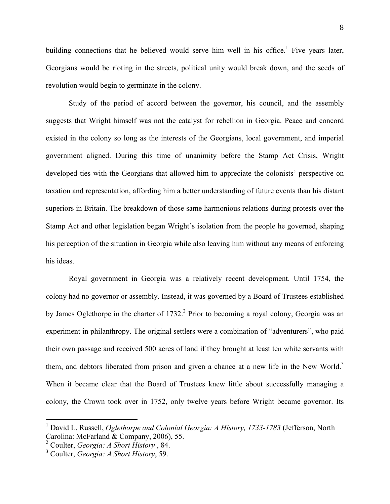building connections that he believed would serve him well in his office.<sup>1</sup> Five years later, Georgians would be rioting in the streets, political unity would break down, and the seeds of revolution would begin to germinate in the colony.

Study of the period of accord between the governor, his council, and the assembly suggests that Wright himself was not the catalyst for rebellion in Georgia. Peace and concord existed in the colony so long as the interests of the Georgians, local government, and imperial government aligned. During this time of unanimity before the Stamp Act Crisis, Wright developed ties with the Georgians that allowed him to appreciate the colonists' perspective on taxation and representation, affording him a better understanding of future events than his distant superiors in Britain. The breakdown of those same harmonious relations during protests over the Stamp Act and other legislation began Wright's isolation from the people he governed, shaping his perception of the situation in Georgia while also leaving him without any means of enforcing his ideas.

Royal government in Georgia was a relatively recent development. Until 1754, the colony had no governor or assembly. Instead, it was governed by a Board of Trustees established by James Oglethorpe in the charter of  $1732$ <sup>2</sup> Prior to becoming a royal colony, Georgia was an experiment in philanthropy. The original settlers were a combination of "adventurers", who paid their own passage and received 500 acres of land if they brought at least ten white servants with them, and debtors liberated from prison and given a chance at a new life in the New World.<sup>3</sup> When it became clear that the Board of Trustees knew little about successfully managing a colony, the Crown took over in 1752, only twelve years before Wright became governor. Its

<sup>&</sup>lt;sup>1</sup> David L. Russell, *Oglethorpe and Colonial Georgia: A History, 1733-1783* (Jefferson, North Carolina: McFarland & Company, 2006), 55.

<sup>2</sup> Coulter, *Georgia: A Short History* , 84.

<sup>3</sup> Coulter, *Georgia: A Short History*, 59.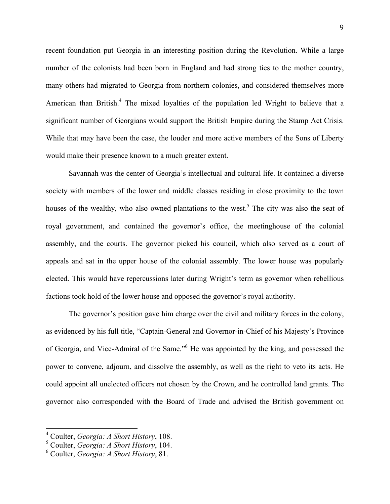recent foundation put Georgia in an interesting position during the Revolution. While a large number of the colonists had been born in England and had strong ties to the mother country, many others had migrated to Georgia from northern colonies, and considered themselves more American than British.<sup>4</sup> The mixed loyalties of the population led Wright to believe that a significant number of Georgians would support the British Empire during the Stamp Act Crisis. While that may have been the case, the louder and more active members of the Sons of Liberty would make their presence known to a much greater extent.

Savannah was the center of Georgia's intellectual and cultural life. It contained a diverse society with members of the lower and middle classes residing in close proximity to the town houses of the wealthy, who also owned plantations to the west.<sup>5</sup> The city was also the seat of royal government, and contained the governor's office, the meetinghouse of the colonial assembly, and the courts. The governor picked his council, which also served as a court of appeals and sat in the upper house of the colonial assembly. The lower house was popularly elected. This would have repercussions later during Wright's term as governor when rebellious factions took hold of the lower house and opposed the governor's royal authority.

The governor's position gave him charge over the civil and military forces in the colony, as evidenced by his full title, "Captain-General and Governor-in-Chief of his Majesty's Province of Georgia, and Vice-Admiral of the Same."<sup>6</sup> He was appointed by the king, and possessed the power to convene, adjourn, and dissolve the assembly, as well as the right to veto its acts. He could appoint all unelected officers not chosen by the Crown, and he controlled land grants. The governor also corresponded with the Board of Trade and advised the British government on

<sup>&</sup>lt;sup>4</sup> Coulter, *Georgia: A Short History*, 108.

<sup>5</sup> Coulter, *Georgia: A Short History*, 104.

<sup>6</sup> Coulter, *Georgia: A Short History*, 81.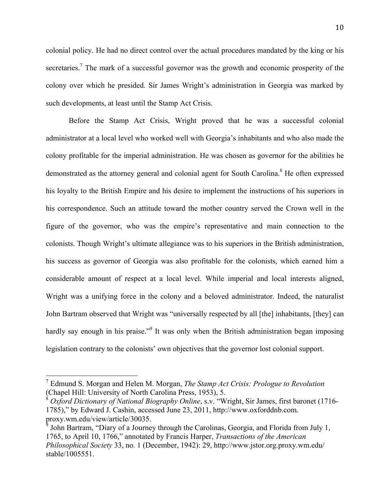colonial policy. He had no direct control over the actual procedures mandated by the king or his secretaries.<sup>7</sup> The mark of a successful governor was the growth and economic prosperity of the colony over which he presided. Sir James Wright's administration in Georgia was marked by such developments, at least until the Stamp Act Crisis.

Before the Stamp Act Crisis, Wright proved that he was a successful colonial administrator at a local level who worked well with Georgia's inhabitants and who also made the colony profitable for the imperial administration. He was chosen as governor for the abilities he demonstrated as the attorney general and colonial agent for South Carolina.<sup>8</sup> He often expressed his loyalty to the British Empire and his desire to implement the instructions of his superiors in his correspondence. Such an attitude toward the mother country served the Crown well in the figure of the governor, who was the empire's representative and main connection to the colonists. Though Wright's ultimate allegiance was to his superiors in the British administration, his success as governor of Georgia was also profitable for the colonists, which earned him a considerable amount of respect at a local level. While imperial and local interests aligned, Wright was a unifying force in the colony and a beloved administrator. Indeed, the naturalist John Bartram observed that Wright was "universally respected by all [the] inhabitants, [they] can hardly say enough in his praise."<sup>9</sup> It was only when the British administration began imposing legislation contrary to the colonists' own objectives that the governor lost colonial support.

<sup>&</sup>lt;sup>7</sup> Edmund S. Morgan and Helen M. Morgan, *The Stamp Act Crisis: Prologue to Revolution* (Chapel Hill: University of North Carolina Press, 1953), 5.

<sup>8</sup> *Oxford Dictionary of National Biography Online*, s.v. "Wright, Sir James, first baronet (1716- 1785)," by Edward J. Cashin, accessed June 23, 2011, http://www.oxforddnb.com. proxy.wm.edu/view/article/30035.

<sup>&</sup>lt;sup>9</sup> John Bartram, "Diary of a Journey through the Carolinas, Georgia, and Florida from July 1, 1765, to April 10, 1766," annotated by Francis Harper, *Transactions of the American Philosophical Society* 33, no. 1 (December, 1942): 29, http://www.jstor.org.proxy.wm.edu/ stable/1005551.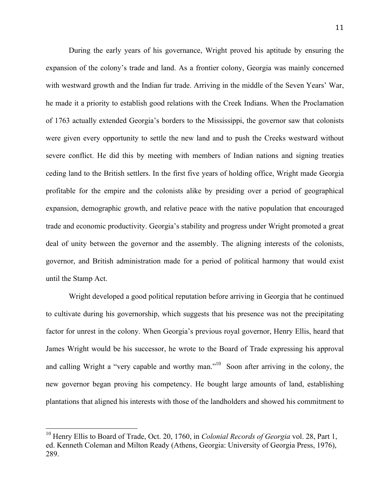During the early years of his governance, Wright proved his aptitude by ensuring the expansion of the colony's trade and land. As a frontier colony, Georgia was mainly concerned with westward growth and the Indian fur trade. Arriving in the middle of the Seven Years' War, he made it a priority to establish good relations with the Creek Indians. When the Proclamation of 1763 actually extended Georgia's borders to the Mississippi, the governor saw that colonists were given every opportunity to settle the new land and to push the Creeks westward without severe conflict. He did this by meeting with members of Indian nations and signing treaties ceding land to the British settlers. In the first five years of holding office, Wright made Georgia profitable for the empire and the colonists alike by presiding over a period of geographical expansion, demographic growth, and relative peace with the native population that encouraged trade and economic productivity. Georgia's stability and progress under Wright promoted a great deal of unity between the governor and the assembly. The aligning interests of the colonists, governor, and British administration made for a period of political harmony that would exist until the Stamp Act.

Wright developed a good political reputation before arriving in Georgia that he continued to cultivate during his governorship, which suggests that his presence was not the precipitating factor for unrest in the colony. When Georgia's previous royal governor, Henry Ellis, heard that James Wright would be his successor, he wrote to the Board of Trade expressing his approval and calling Wright a "very capable and worthy man."<sup>10</sup> Soon after arriving in the colony, the new governor began proving his competency. He bought large amounts of land, establishing plantations that aligned his interests with those of the landholders and showed his commitment to

<sup>&</sup>lt;sup>10</sup> Henry Ellis to Board of Trade, Oct. 20, 1760, in *Colonial Records of Georgia* vol. 28, Part 1, ed. Kenneth Coleman and Milton Ready (Athens, Georgia: University of Georgia Press, 1976), 289.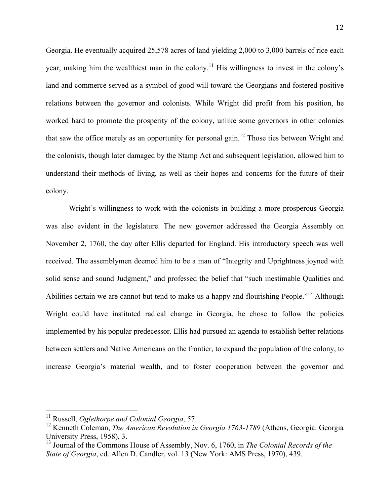Georgia. He eventually acquired 25,578 acres of land yielding 2,000 to 3,000 barrels of rice each year, making him the wealthiest man in the colony.<sup>11</sup> His willingness to invest in the colony's land and commerce served as a symbol of good will toward the Georgians and fostered positive relations between the governor and colonists. While Wright did profit from his position, he worked hard to promote the prosperity of the colony, unlike some governors in other colonies that saw the office merely as an opportunity for personal gain.<sup>12</sup> Those ties between Wright and the colonists, though later damaged by the Stamp Act and subsequent legislation, allowed him to understand their methods of living, as well as their hopes and concerns for the future of their colony.

Wright's willingness to work with the colonists in building a more prosperous Georgia was also evident in the legislature. The new governor addressed the Georgia Assembly on November 2, 1760, the day after Ellis departed for England. His introductory speech was well received. The assemblymen deemed him to be a man of "Integrity and Uprightness joyned with solid sense and sound Judgment," and professed the belief that "such inestimable Qualities and Abilities certain we are cannot but tend to make us a happy and flourishing People."<sup>13</sup> Although Wright could have instituted radical change in Georgia, he chose to follow the policies implemented by his popular predecessor. Ellis had pursued an agenda to establish better relations between settlers and Native Americans on the frontier, to expand the population of the colony, to increase Georgia's material wealth, and to foster cooperation between the governor and

<sup>&</sup>lt;sup>11</sup> Russell, *Oglethorpe and Colonial Georgia*, 57.

<sup>&</sup>lt;sup>12</sup> Kenneth Coleman, *The American Revolution in Georgia 1763-1789* (Athens, Georgia: Georgia University Press, 1958), 3.

<sup>13</sup> Journal of the Commons House of Assembly, Nov. 6, 1760, in *The Colonial Records of the State of Georgia*, ed. Allen D. Candler, vol. 13 (New York: AMS Press, 1970), 439.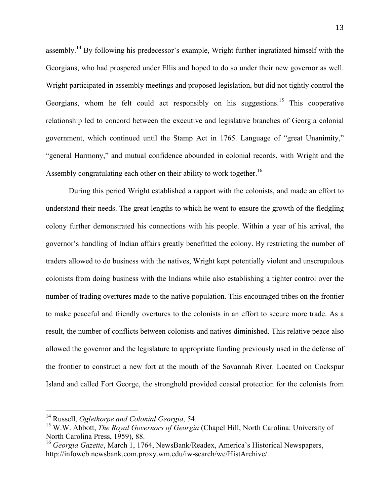assembly.<sup>14</sup> By following his predecessor's example, Wright further ingratiated himself with the Georgians, who had prospered under Ellis and hoped to do so under their new governor as well. Wright participated in assembly meetings and proposed legislation, but did not tightly control the Georgians, whom he felt could act responsibly on his suggestions.<sup>15</sup> This cooperative relationship led to concord between the executive and legislative branches of Georgia colonial government, which continued until the Stamp Act in 1765. Language of "great Unanimity," "general Harmony," and mutual confidence abounded in colonial records, with Wright and the Assembly congratulating each other on their ability to work together.<sup>16</sup>

During this period Wright established a rapport with the colonists, and made an effort to understand their needs. The great lengths to which he went to ensure the growth of the fledgling colony further demonstrated his connections with his people. Within a year of his arrival, the governor's handling of Indian affairs greatly benefitted the colony. By restricting the number of traders allowed to do business with the natives, Wright kept potentially violent and unscrupulous colonists from doing business with the Indians while also establishing a tighter control over the number of trading overtures made to the native population. This encouraged tribes on the frontier to make peaceful and friendly overtures to the colonists in an effort to secure more trade. As a result, the number of conflicts between colonists and natives diminished. This relative peace also allowed the governor and the legislature to appropriate funding previously used in the defense of the frontier to construct a new fort at the mouth of the Savannah River. Located on Cockspur Island and called Fort George, the stronghold provided coastal protection for the colonists from

<sup>&</sup>lt;sup>14</sup> Russell, *Oglethorpe and Colonial Georgia*, 54.

<sup>15</sup> W.W. Abbott, *The Royal Governors of Georgia* (Chapel Hill, North Carolina: University of North Carolina Press, 1959), 88.

<sup>&</sup>lt;sup>16</sup> *Georgia Gazette*, March 1, 1764, NewsBank/Readex, America's Historical Newspapers, http://infoweb.newsbank.com.proxy.wm.edu/iw-search/we/HistArchive/.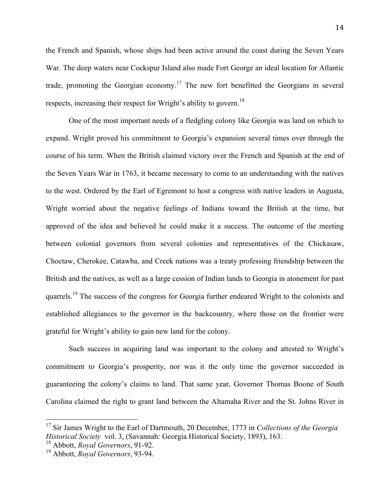the French and Spanish, whose ships had been active around the coast during the Seven Years War. The deep waters near Cockspur Island also made Fort George an ideal location for Atlantic trade, promoting the Georgian economy.<sup>17</sup> The new fort benefitted the Georgians in several respects, increasing their respect for Wright's ability to govern.<sup>18</sup>

One of the most important needs of a fledgling colony like Georgia was land on which to expand. Wright proved his commitment to Georgia's expansion several times over through the course of his term. When the British claimed victory over the French and Spanish at the end of the Seven Years War in 1763, it became necessary to come to an understanding with the natives to the west. Ordered by the Earl of Egremont to host a congress with native leaders in Augusta, Wright worried about the negative feelings of Indians toward the British at the time, but approved of the idea and believed he could make it a success. The outcome of the meeting between colonial governors from several colonies and representatives of the Chickasaw, Choctaw, Cherokee, Catawba, and Creek nations was a treaty professing friendship between the British and the natives, as well as a large cession of Indian lands to Georgia in atonement for past quarrels.<sup>19</sup> The success of the congress for Georgia further endeared Wright to the colonists and established allegiances to the governor in the backcountry, where those on the frontier were grateful for Wright's ability to gain new land for the colony.

Such success in acquiring land was important to the colony and attested to Wright's commitment to Georgia's prosperity, nor was it the only time the governor succeeded in guaranteeing the colony's claims to land. That same year, Governor Thomas Boone of South Carolina claimed the right to grant land between the Altamaha River and the St. Johns River in

<sup>&</sup>lt;sup>17</sup> Sir James Wright to the Earl of Dartmouth, 20 December, 1773 in *Collections of the Georgia Historical Society* vol. 3, (Savannah: Georgia Historical Society, 1893), 163.

<sup>18</sup> Abbott, *Royal Governors*, 91-92.

<sup>19</sup> Abbott, *Royal Governors*, 93-94.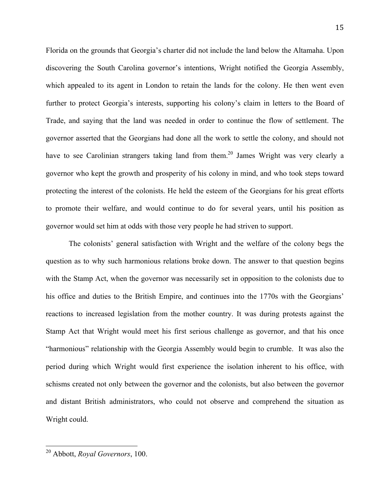Florida on the grounds that Georgia's charter did not include the land below the Altamaha. Upon discovering the South Carolina governor's intentions, Wright notified the Georgia Assembly, which appealed to its agent in London to retain the lands for the colony. He then went even further to protect Georgia's interests, supporting his colony's claim in letters to the Board of Trade, and saying that the land was needed in order to continue the flow of settlement. The governor asserted that the Georgians had done all the work to settle the colony, and should not have to see Carolinian strangers taking land from them.<sup>20</sup> James Wright was very clearly a governor who kept the growth and prosperity of his colony in mind, and who took steps toward protecting the interest of the colonists. He held the esteem of the Georgians for his great efforts to promote their welfare, and would continue to do for several years, until his position as governor would set him at odds with those very people he had striven to support.

The colonists' general satisfaction with Wright and the welfare of the colony begs the question as to why such harmonious relations broke down. The answer to that question begins with the Stamp Act, when the governor was necessarily set in opposition to the colonists due to his office and duties to the British Empire, and continues into the 1770s with the Georgians' reactions to increased legislation from the mother country. It was during protests against the Stamp Act that Wright would meet his first serious challenge as governor, and that his once "harmonious" relationship with the Georgia Assembly would begin to crumble. It was also the period during which Wright would first experience the isolation inherent to his office, with schisms created not only between the governor and the colonists, but also between the governor and distant British administrators, who could not observe and comprehend the situation as Wright could.

<sup>&</sup>lt;sup>20</sup> Abbott, *Royal Governors*, 100.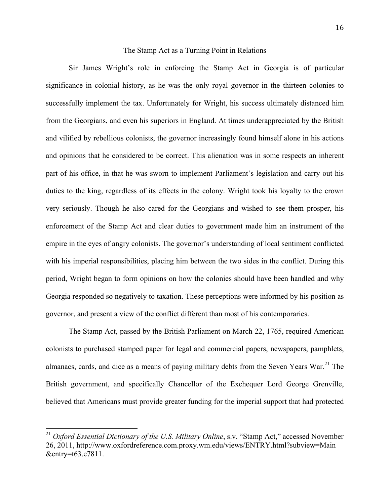#### The Stamp Act as a Turning Point in Relations

Sir James Wright's role in enforcing the Stamp Act in Georgia is of particular significance in colonial history, as he was the only royal governor in the thirteen colonies to successfully implement the tax. Unfortunately for Wright, his success ultimately distanced him from the Georgians, and even his superiors in England. At times underappreciated by the British and vilified by rebellious colonists, the governor increasingly found himself alone in his actions and opinions that he considered to be correct. This alienation was in some respects an inherent part of his office, in that he was sworn to implement Parliament's legislation and carry out his duties to the king, regardless of its effects in the colony. Wright took his loyalty to the crown very seriously. Though he also cared for the Georgians and wished to see them prosper, his enforcement of the Stamp Act and clear duties to government made him an instrument of the empire in the eyes of angry colonists. The governor's understanding of local sentiment conflicted with his imperial responsibilities, placing him between the two sides in the conflict. During this period, Wright began to form opinions on how the colonies should have been handled and why Georgia responded so negatively to taxation. These perceptions were informed by his position as governor, and present a view of the conflict different than most of his contemporaries.

The Stamp Act, passed by the British Parliament on March 22, 1765, required American colonists to purchased stamped paper for legal and commercial papers, newspapers, pamphlets, almanacs, cards, and dice as a means of paying military debts from the Seven Years War.<sup>21</sup> The British government, and specifically Chancellor of the Exchequer Lord George Grenville, believed that Americans must provide greater funding for the imperial support that had protected

<sup>&</sup>lt;sup>21</sup> Oxford Essential Dictionary of the U.S. Military Online, s.v. "Stamp Act," accessed November 26, 2011, http://www.oxfordreference.com.proxy.wm.edu/views/ENTRY.html?subview=Main &entry=t63.e7811.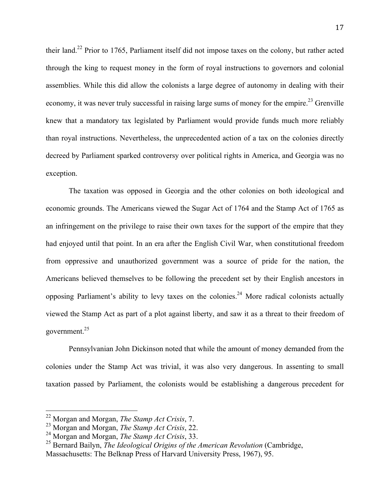their land.22 Prior to 1765, Parliament itself did not impose taxes on the colony, but rather acted through the king to request money in the form of royal instructions to governors and colonial assemblies. While this did allow the colonists a large degree of autonomy in dealing with their economy, it was never truly successful in raising large sums of money for the empire.<sup>23</sup> Grenville knew that a mandatory tax legislated by Parliament would provide funds much more reliably than royal instructions. Nevertheless, the unprecedented action of a tax on the colonies directly decreed by Parliament sparked controversy over political rights in America, and Georgia was no exception.

The taxation was opposed in Georgia and the other colonies on both ideological and economic grounds. The Americans viewed the Sugar Act of 1764 and the Stamp Act of 1765 as an infringement on the privilege to raise their own taxes for the support of the empire that they had enjoyed until that point. In an era after the English Civil War, when constitutional freedom from oppressive and unauthorized government was a source of pride for the nation, the Americans believed themselves to be following the precedent set by their English ancestors in opposing Parliament's ability to levy taxes on the colonies.<sup>24</sup> More radical colonists actually viewed the Stamp Act as part of a plot against liberty, and saw it as a threat to their freedom of government.25

Pennsylvanian John Dickinson noted that while the amount of money demanded from the colonies under the Stamp Act was trivial, it was also very dangerous. In assenting to small taxation passed by Parliament, the colonists would be establishing a dangerous precedent for

<sup>&</sup>lt;sup>22</sup> Morgan and Morgan, *The Stamp Act Crisis*, 7.

<sup>23</sup> Morgan and Morgan, *The Stamp Act Crisis*, 22.

<sup>24</sup> Morgan and Morgan, *The Stamp Act Crisis*, 33.

<sup>&</sup>lt;sup>25</sup> Bernard Bailyn, *The Ideological Origins of the American Revolution* (Cambridge, Massachusetts: The Belknap Press of Harvard University Press, 1967), 95.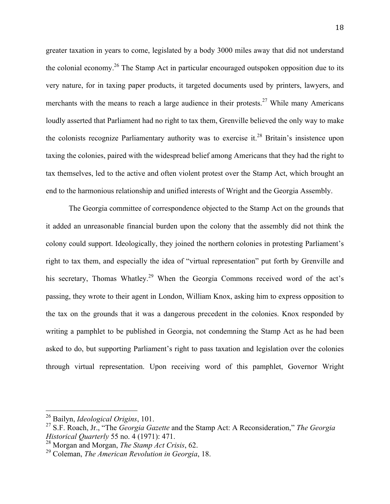greater taxation in years to come, legislated by a body 3000 miles away that did not understand the colonial economy.<sup>26</sup> The Stamp Act in particular encouraged outspoken opposition due to its very nature, for in taxing paper products, it targeted documents used by printers, lawyers, and merchants with the means to reach a large audience in their protests.<sup>27</sup> While many Americans loudly asserted that Parliament had no right to tax them, Grenville believed the only way to make the colonists recognize Parliamentary authority was to exercise it.<sup>28</sup> Britain's insistence upon taxing the colonies, paired with the widespread belief among Americans that they had the right to tax themselves, led to the active and often violent protest over the Stamp Act, which brought an end to the harmonious relationship and unified interests of Wright and the Georgia Assembly.

The Georgia committee of correspondence objected to the Stamp Act on the grounds that it added an unreasonable financial burden upon the colony that the assembly did not think the colony could support. Ideologically, they joined the northern colonies in protesting Parliament's right to tax them, and especially the idea of "virtual representation" put forth by Grenville and his secretary, Thomas Whatley.<sup>29</sup> When the Georgia Commons received word of the act's passing, they wrote to their agent in London, William Knox, asking him to express opposition to the tax on the grounds that it was a dangerous precedent in the colonies. Knox responded by writing a pamphlet to be published in Georgia, not condemning the Stamp Act as he had been asked to do, but supporting Parliament's right to pass taxation and legislation over the colonies through virtual representation. Upon receiving word of this pamphlet, Governor Wright

<sup>&</sup>lt;sup>26</sup> Bailyn, *Ideological Origins*, 101.

<sup>27</sup> S.F. Roach, Jr., "The *Georgia Gazette* and the Stamp Act: A Reconsideration," *The Georgia Historical Quarterly* 55 no. 4 (1971): 471.

<sup>28</sup> Morgan and Morgan, *The Stamp Act Crisis*, 62.

<sup>29</sup> Coleman, *The American Revolution in Georgia*, 18.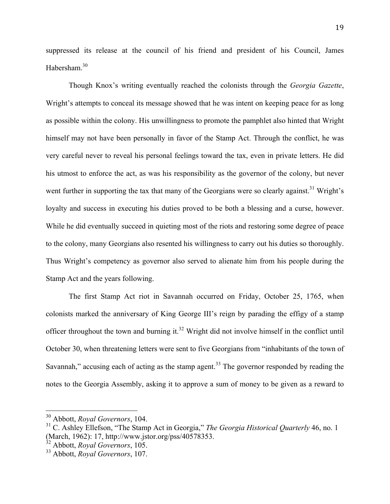suppressed its release at the council of his friend and president of his Council, James Habersham.30

Though Knox's writing eventually reached the colonists through the *Georgia Gazette*, Wright's attempts to conceal its message showed that he was intent on keeping peace for as long as possible within the colony. His unwillingness to promote the pamphlet also hinted that Wright himself may not have been personally in favor of the Stamp Act. Through the conflict, he was very careful never to reveal his personal feelings toward the tax, even in private letters. He did his utmost to enforce the act, as was his responsibility as the governor of the colony, but never went further in supporting the tax that many of the Georgians were so clearly against.<sup>31</sup> Wright's loyalty and success in executing his duties proved to be both a blessing and a curse, however. While he did eventually succeed in quieting most of the riots and restoring some degree of peace to the colony, many Georgians also resented his willingness to carry out his duties so thoroughly. Thus Wright's competency as governor also served to alienate him from his people during the Stamp Act and the years following.

The first Stamp Act riot in Savannah occurred on Friday, October 25, 1765, when colonists marked the anniversary of King George III's reign by parading the effigy of a stamp officer throughout the town and burning it.<sup>32</sup> Wright did not involve himself in the conflict until October 30, when threatening letters were sent to five Georgians from "inhabitants of the town of Savannah," accusing each of acting as the stamp agent.<sup>33</sup> The governor responded by reading the notes to the Georgia Assembly, asking it to approve a sum of money to be given as a reward to

<sup>&</sup>lt;sup>30</sup> Abbott, *Royal Governors*, 104.

<sup>31</sup> C. Ashley Ellefson, "The Stamp Act in Georgia," *The Georgia Historical Quarterly* 46, no. 1 (March, 1962): 17, http://www.jstor.org/pss/40578353.

<sup>32</sup> Abbott, *Royal Governors*, 105.

<sup>33</sup> Abbott, *Royal Governors*, 107.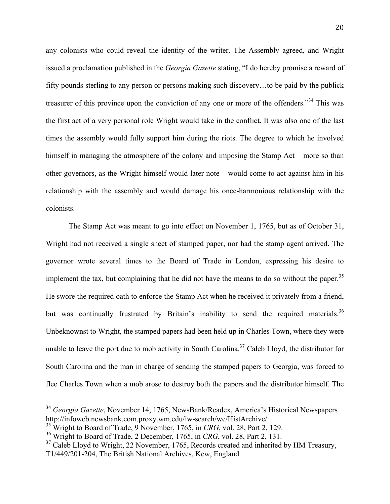any colonists who could reveal the identity of the writer. The Assembly agreed, and Wright issued a proclamation published in the *Georgia Gazette* stating, "I do hereby promise a reward of fifty pounds sterling to any person or persons making such discovery…to be paid by the publick treasurer of this province upon the conviction of any one or more of the offenders."34 This was the first act of a very personal role Wright would take in the conflict. It was also one of the last times the assembly would fully support him during the riots. The degree to which he involved himself in managing the atmosphere of the colony and imposing the Stamp Act – more so than other governors, as the Wright himself would later note – would come to act against him in his relationship with the assembly and would damage his once-harmonious relationship with the colonists.

The Stamp Act was meant to go into effect on November 1, 1765, but as of October 31, Wright had not received a single sheet of stamped paper, nor had the stamp agent arrived. The governor wrote several times to the Board of Trade in London, expressing his desire to implement the tax, but complaining that he did not have the means to do so without the paper.<sup>35</sup> He swore the required oath to enforce the Stamp Act when he received it privately from a friend, but was continually frustrated by Britain's inability to send the required materials.<sup>36</sup> Unbeknownst to Wright, the stamped papers had been held up in Charles Town, where they were unable to leave the port due to mob activity in South Carolina.<sup>37</sup> Caleb Lloyd, the distributor for South Carolina and the man in charge of sending the stamped papers to Georgia, was forced to flee Charles Town when a mob arose to destroy both the papers and the distributor himself. The

<sup>&</sup>lt;sup>34</sup> Georgia Gazette, November 14, 1765, NewsBank/Readex, America's Historical Newspapers http://infoweb.newsbank.com.proxy.wm.edu/iw-search/we/HistArchive/. 35 Wright to Board of Trade, 9 November, 1765, in *CRG*, vol. 28, Part 2, 129.

<sup>36</sup> Wright to Board of Trade, 2 December, 1765, in *CRG*, vol. 28, Part 2, 131.

 $37$  Caleb Lloyd to Wright, 22 November, 1765, Records created and inherited by HM Treasury, T1/449/201-204, The British National Archives, Kew, England.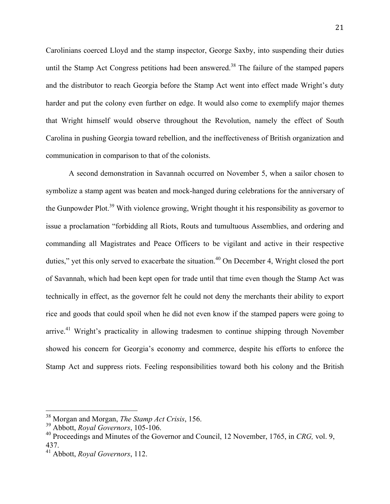Carolinians coerced Lloyd and the stamp inspector, George Saxby, into suspending their duties until the Stamp Act Congress petitions had been answered.<sup>38</sup> The failure of the stamped papers and the distributor to reach Georgia before the Stamp Act went into effect made Wright's duty harder and put the colony even further on edge. It would also come to exemplify major themes that Wright himself would observe throughout the Revolution, namely the effect of South Carolina in pushing Georgia toward rebellion, and the ineffectiveness of British organization and communication in comparison to that of the colonists.

A second demonstration in Savannah occurred on November 5, when a sailor chosen to symbolize a stamp agent was beaten and mock-hanged during celebrations for the anniversary of the Gunpowder Plot.<sup>39</sup> With violence growing, Wright thought it his responsibility as governor to issue a proclamation "forbidding all Riots, Routs and tumultuous Assemblies, and ordering and commanding all Magistrates and Peace Officers to be vigilant and active in their respective duties," yet this only served to exacerbate the situation.<sup>40</sup> On December 4, Wright closed the port of Savannah, which had been kept open for trade until that time even though the Stamp Act was technically in effect, as the governor felt he could not deny the merchants their ability to export rice and goods that could spoil when he did not even know if the stamped papers were going to arrive.<sup>41</sup> Wright's practicality in allowing tradesmen to continue shipping through November showed his concern for Georgia's economy and commerce, despite his efforts to enforce the Stamp Act and suppress riots. Feeling responsibilities toward both his colony and the British

<sup>&</sup>lt;sup>38</sup> Morgan and Morgan, *The Stamp Act Crisis*, 156.

<sup>39</sup> Abbott, *Royal Governors*, 105-106.

<sup>40</sup> Proceedings and Minutes of the Governor and Council, 12 November, 1765, in *CRG,* vol. 9, 437.

<sup>41</sup> Abbott, *Royal Governors*, 112.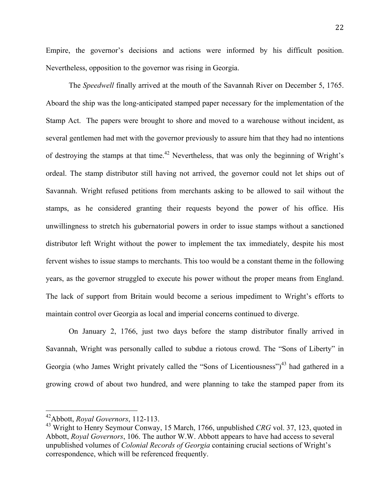Empire, the governor's decisions and actions were informed by his difficult position. Nevertheless, opposition to the governor was rising in Georgia.

The *Speedwell* finally arrived at the mouth of the Savannah River on December 5, 1765. Aboard the ship was the long-anticipated stamped paper necessary for the implementation of the Stamp Act. The papers were brought to shore and moved to a warehouse without incident, as several gentlemen had met with the governor previously to assure him that they had no intentions of destroying the stamps at that time.<sup>42</sup> Nevertheless, that was only the beginning of Wright's ordeal. The stamp distributor still having not arrived, the governor could not let ships out of Savannah. Wright refused petitions from merchants asking to be allowed to sail without the stamps, as he considered granting their requests beyond the power of his office. His unwillingness to stretch his gubernatorial powers in order to issue stamps without a sanctioned distributor left Wright without the power to implement the tax immediately, despite his most fervent wishes to issue stamps to merchants. This too would be a constant theme in the following years, as the governor struggled to execute his power without the proper means from England. The lack of support from Britain would become a serious impediment to Wright's efforts to maintain control over Georgia as local and imperial concerns continued to diverge.

On January 2, 1766, just two days before the stamp distributor finally arrived in Savannah, Wright was personally called to subdue a riotous crowd. The "Sons of Liberty" in Georgia (who James Wright privately called the "Sons of Licentiousness")<sup>43</sup> had gathered in a growing crowd of about two hundred, and were planning to take the stamped paper from its

<sup>&</sup>lt;sup>42</sup> Abbott, *Royal Governors*, 112-113.

<sup>43</sup> Wright to Henry Seymour Conway, 15 March, 1766, unpublished *CRG* vol. 37, 123, quoted in Abbott, *Royal Governors*, 106. The author W.W. Abbott appears to have had access to several unpublished volumes of *Colonial Records of Georgia* containing crucial sections of Wright's correspondence, which will be referenced frequently.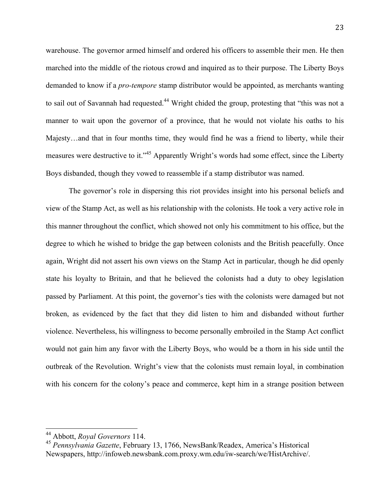warehouse. The governor armed himself and ordered his officers to assemble their men. He then marched into the middle of the riotous crowd and inquired as to their purpose. The Liberty Boys demanded to know if a *pro-tempore* stamp distributor would be appointed, as merchants wanting to sail out of Savannah had requested.<sup>44</sup> Wright chided the group, protesting that "this was not a manner to wait upon the governor of a province, that he would not violate his oaths to his Majesty…and that in four months time, they would find he was a friend to liberty, while their measures were destructive to it."45 Apparently Wright's words had some effect, since the Liberty Boys disbanded, though they vowed to reassemble if a stamp distributor was named.

The governor's role in dispersing this riot provides insight into his personal beliefs and view of the Stamp Act, as well as his relationship with the colonists. He took a very active role in this manner throughout the conflict, which showed not only his commitment to his office, but the degree to which he wished to bridge the gap between colonists and the British peacefully. Once again, Wright did not assert his own views on the Stamp Act in particular, though he did openly state his loyalty to Britain, and that he believed the colonists had a duty to obey legislation passed by Parliament. At this point, the governor's ties with the colonists were damaged but not broken, as evidenced by the fact that they did listen to him and disbanded without further violence. Nevertheless, his willingness to become personally embroiled in the Stamp Act conflict would not gain him any favor with the Liberty Boys, who would be a thorn in his side until the outbreak of the Revolution. Wright's view that the colonists must remain loyal, in combination with his concern for the colony's peace and commerce, kept him in a strange position between

<sup>&</sup>lt;sup>44</sup> Abbott, *Royal Governors* 114.

<sup>45</sup> *Pennsylvania Gazette*, February 13, 1766, NewsBank/Readex, America's Historical Newspapers, http://infoweb.newsbank.com.proxy.wm.edu/iw-search/we/HistArchive/.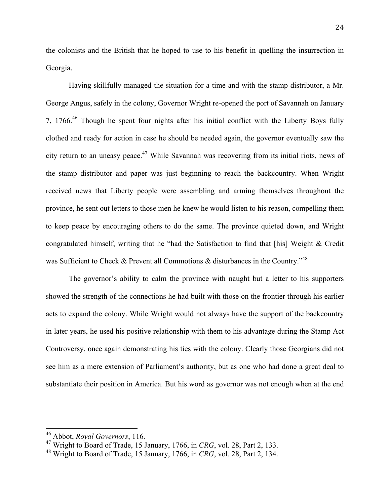the colonists and the British that he hoped to use to his benefit in quelling the insurrection in Georgia.

Having skillfully managed the situation for a time and with the stamp distributor, a Mr. George Angus, safely in the colony, Governor Wright re-opened the port of Savannah on January 7, 1766. $46$  Though he spent four nights after his initial conflict with the Liberty Boys fully clothed and ready for action in case he should be needed again, the governor eventually saw the city return to an uneasy peace.<sup>47</sup> While Savannah was recovering from its initial riots, news of the stamp distributor and paper was just beginning to reach the backcountry. When Wright received news that Liberty people were assembling and arming themselves throughout the province, he sent out letters to those men he knew he would listen to his reason, compelling them to keep peace by encouraging others to do the same. The province quieted down, and Wright congratulated himself, writing that he "had the Satisfaction to find that [his] Weight & Credit was Sufficient to Check & Prevent all Commotions & disturbances in the Country."<sup>48</sup>

The governor's ability to calm the province with naught but a letter to his supporters showed the strength of the connections he had built with those on the frontier through his earlier acts to expand the colony. While Wright would not always have the support of the backcountry in later years, he used his positive relationship with them to his advantage during the Stamp Act Controversy, once again demonstrating his ties with the colony. Clearly those Georgians did not see him as a mere extension of Parliament's authority, but as one who had done a great deal to substantiate their position in America. But his word as governor was not enough when at the end

<sup>&</sup>lt;sup>46</sup> Abbot, *Royal Governors*, 116.

<sup>47</sup> Wright to Board of Trade, 15 January, 1766, in *CRG*, vol. 28, Part 2, 133.

<sup>48</sup> Wright to Board of Trade, 15 January, 1766, in *CRG*, vol. 28, Part 2, 134.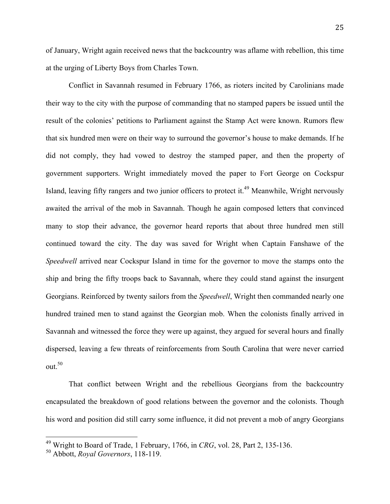of January, Wright again received news that the backcountry was aflame with rebellion, this time at the urging of Liberty Boys from Charles Town.

Conflict in Savannah resumed in February 1766, as rioters incited by Carolinians made their way to the city with the purpose of commanding that no stamped papers be issued until the result of the colonies' petitions to Parliament against the Stamp Act were known. Rumors flew that six hundred men were on their way to surround the governor's house to make demands. If he did not comply, they had vowed to destroy the stamped paper, and then the property of government supporters. Wright immediately moved the paper to Fort George on Cockspur Island, leaving fifty rangers and two junior officers to protect it.<sup>49</sup> Meanwhile, Wright nervously awaited the arrival of the mob in Savannah. Though he again composed letters that convinced many to stop their advance, the governor heard reports that about three hundred men still continued toward the city. The day was saved for Wright when Captain Fanshawe of the *Speedwell* arrived near Cockspur Island in time for the governor to move the stamps onto the ship and bring the fifty troops back to Savannah, where they could stand against the insurgent Georgians. Reinforced by twenty sailors from the *Speedwell*, Wright then commanded nearly one hundred trained men to stand against the Georgian mob. When the colonists finally arrived in Savannah and witnessed the force they were up against, they argued for several hours and finally dispersed, leaving a few threats of reinforcements from South Carolina that were never carried out. 50

That conflict between Wright and the rebellious Georgians from the backcountry encapsulated the breakdown of good relations between the governor and the colonists. Though his word and position did still carry some influence, it did not prevent a mob of angry Georgians

<sup>&</sup>lt;sup>49</sup> Wright to Board of Trade, 1 February, 1766, in *CRG*, vol. 28, Part 2, 135-136.

<sup>50</sup> Abbott, *Royal Governors*, 118-119.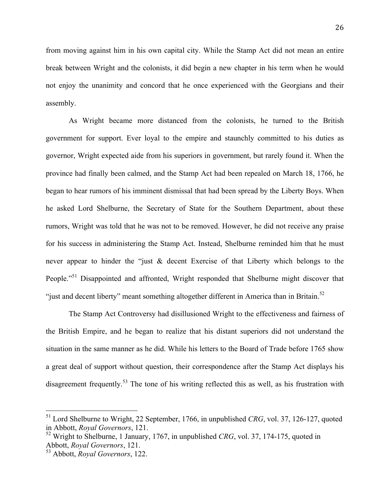from moving against him in his own capital city. While the Stamp Act did not mean an entire break between Wright and the colonists, it did begin a new chapter in his term when he would not enjoy the unanimity and concord that he once experienced with the Georgians and their assembly.

As Wright became more distanced from the colonists, he turned to the British government for support. Ever loyal to the empire and staunchly committed to his duties as governor, Wright expected aide from his superiors in government, but rarely found it. When the province had finally been calmed, and the Stamp Act had been repealed on March 18, 1766, he began to hear rumors of his imminent dismissal that had been spread by the Liberty Boys. When he asked Lord Shelburne, the Secretary of State for the Southern Department, about these rumors, Wright was told that he was not to be removed. However, he did not receive any praise for his success in administering the Stamp Act. Instead, Shelburne reminded him that he must never appear to hinder the "just & decent Exercise of that Liberty which belongs to the People."<sup>51</sup> Disappointed and affronted, Wright responded that Shelburne might discover that "just and decent liberty" meant something altogether different in America than in Britain.<sup>52</sup>

The Stamp Act Controversy had disillusioned Wright to the effectiveness and fairness of the British Empire, and he began to realize that his distant superiors did not understand the situation in the same manner as he did. While his letters to the Board of Trade before 1765 show a great deal of support without question, their correspondence after the Stamp Act displays his disagreement frequently.<sup>53</sup> The tone of his writing reflected this as well, as his frustration with

 $151$  Lord Shelburne to Wright, 22 September, 1766, in unpublished *CRG*, vol. 37, 126-127, quoted in Abbott, *Royal Governors*, 121.

<sup>52</sup> Wright to Shelburne, 1 January, 1767, in unpublished *CRG*, vol. 37, 174-175, quoted in Abbott, *Royal Governors*, 121.

<sup>53</sup> Abbott, *Royal Governors*, 122.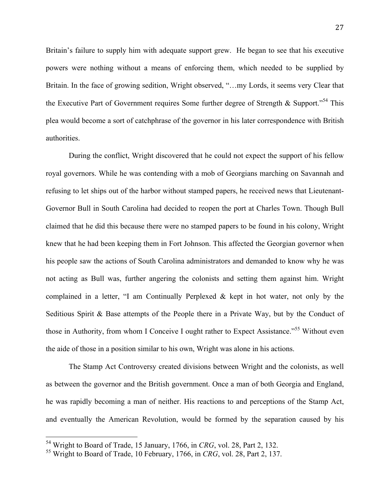Britain's failure to supply him with adequate support grew. He began to see that his executive powers were nothing without a means of enforcing them, which needed to be supplied by Britain. In the face of growing sedition, Wright observed, "…my Lords, it seems very Clear that the Executive Part of Government requires Some further degree of Strength & Support."54 This plea would become a sort of catchphrase of the governor in his later correspondence with British authorities.

During the conflict, Wright discovered that he could not expect the support of his fellow royal governors. While he was contending with a mob of Georgians marching on Savannah and refusing to let ships out of the harbor without stamped papers, he received news that Lieutenant-Governor Bull in South Carolina had decided to reopen the port at Charles Town. Though Bull claimed that he did this because there were no stamped papers to be found in his colony, Wright knew that he had been keeping them in Fort Johnson. This affected the Georgian governor when his people saw the actions of South Carolina administrators and demanded to know why he was not acting as Bull was, further angering the colonists and setting them against him. Wright complained in a letter, "I am Continually Perplexed & kept in hot water, not only by the Seditious Spirit & Base attempts of the People there in a Private Way, but by the Conduct of those in Authority, from whom I Conceive I ought rather to Expect Assistance."<sup>55</sup> Without even the aide of those in a position similar to his own, Wright was alone in his actions.

The Stamp Act Controversy created divisions between Wright and the colonists, as well as between the governor and the British government. Once a man of both Georgia and England, he was rapidly becoming a man of neither. His reactions to and perceptions of the Stamp Act, and eventually the American Revolution, would be formed by the separation caused by his

<sup>&</sup>lt;sup>54</sup> Wright to Board of Trade, 15 January, 1766, in *CRG*, vol. 28, Part 2, 132.

<sup>55</sup> Wright to Board of Trade, 10 February, 1766, in *CRG*, vol. 28, Part 2, 137.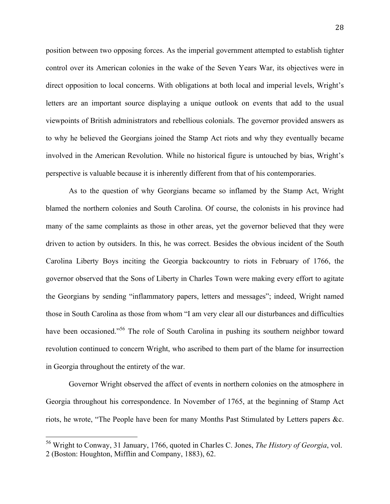position between two opposing forces. As the imperial government attempted to establish tighter control over its American colonies in the wake of the Seven Years War, its objectives were in direct opposition to local concerns. With obligations at both local and imperial levels, Wright's letters are an important source displaying a unique outlook on events that add to the usual viewpoints of British administrators and rebellious colonials. The governor provided answers as to why he believed the Georgians joined the Stamp Act riots and why they eventually became involved in the American Revolution. While no historical figure is untouched by bias, Wright's perspective is valuable because it is inherently different from that of his contemporaries.

As to the question of why Georgians became so inflamed by the Stamp Act, Wright blamed the northern colonies and South Carolina. Of course, the colonists in his province had many of the same complaints as those in other areas, yet the governor believed that they were driven to action by outsiders. In this, he was correct. Besides the obvious incident of the South Carolina Liberty Boys inciting the Georgia backcountry to riots in February of 1766, the governor observed that the Sons of Liberty in Charles Town were making every effort to agitate the Georgians by sending "inflammatory papers, letters and messages"; indeed, Wright named those in South Carolina as those from whom "I am very clear all our disturbances and difficulties have been occasioned."<sup>56</sup> The role of South Carolina in pushing its southern neighbor toward revolution continued to concern Wright, who ascribed to them part of the blame for insurrection in Georgia throughout the entirety of the war.

Governor Wright observed the affect of events in northern colonies on the atmosphere in Georgia throughout his correspondence. In November of 1765, at the beginning of Stamp Act riots, he wrote, "The People have been for many Months Past Stimulated by Letters papers &c.

<sup>&</sup>lt;sup>56</sup> Wright to Conway, 31 January, 1766, quoted in Charles C. Jones, *The History of Georgia*, vol. 2 (Boston: Houghton, Mifflin and Company, 1883), 62.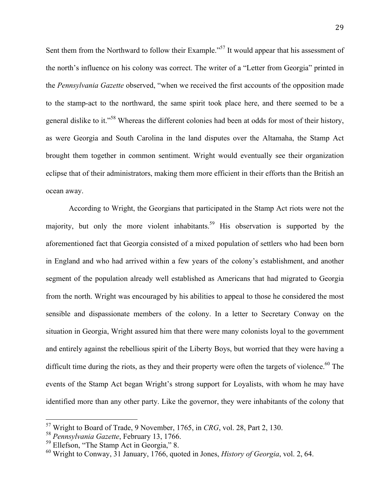Sent them from the Northward to follow their Example."<sup>57</sup> It would appear that his assessment of the north's influence on his colony was correct. The writer of a "Letter from Georgia" printed in the *Pennsylvania Gazette* observed, "when we received the first accounts of the opposition made to the stamp-act to the northward, the same spirit took place here, and there seemed to be a general dislike to it."<sup>58</sup> Whereas the different colonies had been at odds for most of their history, as were Georgia and South Carolina in the land disputes over the Altamaha, the Stamp Act brought them together in common sentiment. Wright would eventually see their organization eclipse that of their administrators, making them more efficient in their efforts than the British an ocean away.

According to Wright, the Georgians that participated in the Stamp Act riots were not the majority, but only the more violent inhabitants.<sup>59</sup> His observation is supported by the aforementioned fact that Georgia consisted of a mixed population of settlers who had been born in England and who had arrived within a few years of the colony's establishment, and another segment of the population already well established as Americans that had migrated to Georgia from the north. Wright was encouraged by his abilities to appeal to those he considered the most sensible and dispassionate members of the colony. In a letter to Secretary Conway on the situation in Georgia, Wright assured him that there were many colonists loyal to the government and entirely against the rebellious spirit of the Liberty Boys, but worried that they were having a difficult time during the riots, as they and their property were often the targets of violence.<sup>60</sup> The events of the Stamp Act began Wright's strong support for Loyalists, with whom he may have identified more than any other party. Like the governor, they were inhabitants of the colony that

<sup>&</sup>lt;sup>57</sup> Wright to Board of Trade, 9 November, 1765, in *CRG*, vol. 28, Part 2, 130.

<sup>58</sup> *Pennsylvania Gazette*, February 13, 1766.

<sup>&</sup>lt;sup>59</sup> Ellefson, "The Stamp Act in Georgia," 8.

<sup>60</sup> Wright to Conway, 31 January, 1766, quoted in Jones, *History of Georgia*, vol. 2, 64.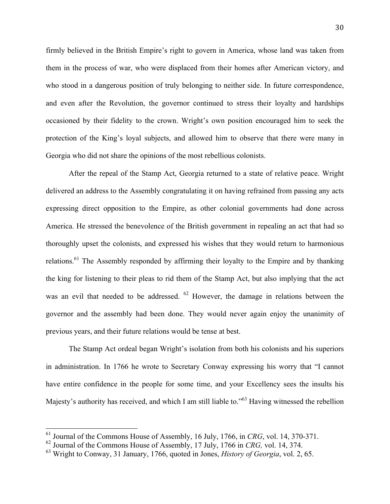firmly believed in the British Empire's right to govern in America, whose land was taken from them in the process of war, who were displaced from their homes after American victory, and who stood in a dangerous position of truly belonging to neither side. In future correspondence, and even after the Revolution, the governor continued to stress their loyalty and hardships occasioned by their fidelity to the crown. Wright's own position encouraged him to seek the protection of the King's loyal subjects, and allowed him to observe that there were many in Georgia who did not share the opinions of the most rebellious colonists.

After the repeal of the Stamp Act, Georgia returned to a state of relative peace. Wright delivered an address to the Assembly congratulating it on having refrained from passing any acts expressing direct opposition to the Empire, as other colonial governments had done across America. He stressed the benevolence of the British government in repealing an act that had so thoroughly upset the colonists, and expressed his wishes that they would return to harmonious relations.<sup>61</sup> The Assembly responded by affirming their loyalty to the Empire and by thanking the king for listening to their pleas to rid them of the Stamp Act, but also implying that the act was an evil that needed to be addressed. <sup>62</sup> However, the damage in relations between the governor and the assembly had been done. They would never again enjoy the unanimity of previous years, and their future relations would be tense at best.

The Stamp Act ordeal began Wright's isolation from both his colonists and his superiors in administration. In 1766 he wrote to Secretary Conway expressing his worry that "I cannot have entire confidence in the people for some time, and your Excellency sees the insults his Majesty's authority has received, and which I am still liable to."<sup>63</sup> Having witnessed the rebellion

<sup>&</sup>lt;sup>61</sup> Journal of the Commons House of Assembly, 16 July, 1766, in *CRG*, vol. 14, 370-371.

<sup>62</sup> Journal of the Commons House of Assembly, 17 July, 1766 in *CRG,* vol. 14, 374.

<sup>63</sup> Wright to Conway, 31 January, 1766, quoted in Jones, *History of Georgia*, vol. 2, 65.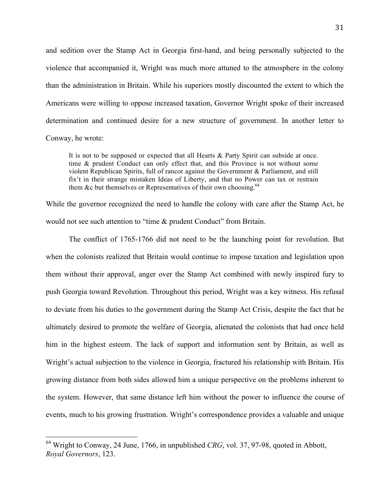and sedition over the Stamp Act in Georgia first-hand, and being personally subjected to the violence that accompanied it, Wright was much more attuned to the atmosphere in the colony than the administration in Britain. While his superiors mostly discounted the extent to which the Americans were willing to oppose increased taxation, Governor Wright spoke of their increased determination and continued desire for a new structure of government. In another letter to Conway, he wrote:

It is not to be supposed or expected that all Hearts & Party Spirit can subside at once. time & prudent Conduct can only effect that, and this Province is not without some violent Republican Spirits, full of rancor against the Government & Parliament, and still fix't in their strange mistaken Ideas of Liberty, and that no Power can tax or restrain them &c but themselves or Representatives of their own choosing.<sup>64</sup>

While the governor recognized the need to handle the colony with care after the Stamp Act, he would not see such attention to "time & prudent Conduct" from Britain.

The conflict of 1765-1766 did not need to be the launching point for revolution. But when the colonists realized that Britain would continue to impose taxation and legislation upon them without their approval, anger over the Stamp Act combined with newly inspired fury to push Georgia toward Revolution. Throughout this period, Wright was a key witness. His refusal to deviate from his duties to the government during the Stamp Act Crisis, despite the fact that he ultimately desired to promote the welfare of Georgia, alienated the colonists that had once held him in the highest esteem. The lack of support and information sent by Britain, as well as Wright's actual subjection to the violence in Georgia, fractured his relationship with Britain. His growing distance from both sides allowed him a unique perspective on the problems inherent to the system. However, that same distance left him without the power to influence the course of events, much to his growing frustration. Wright's correspondence provides a valuable and unique

 $^{64}$  Wright to Conway, 24 June, 1766, in unpublished *CRG*, vol. 37, 97-98, quoted in Abbott, *Royal Governors*, 123.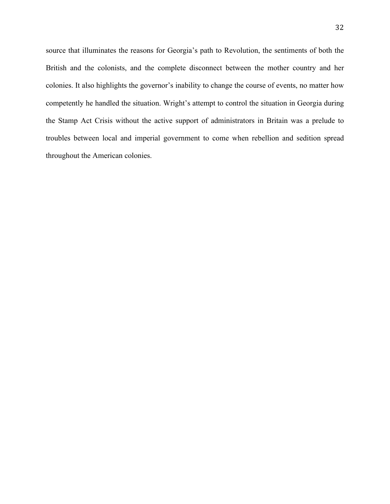source that illuminates the reasons for Georgia's path to Revolution, the sentiments of both the British and the colonists, and the complete disconnect between the mother country and her colonies. It also highlights the governor's inability to change the course of events, no matter how competently he handled the situation. Wright's attempt to control the situation in Georgia during the Stamp Act Crisis without the active support of administrators in Britain was a prelude to troubles between local and imperial government to come when rebellion and sedition spread throughout the American colonies.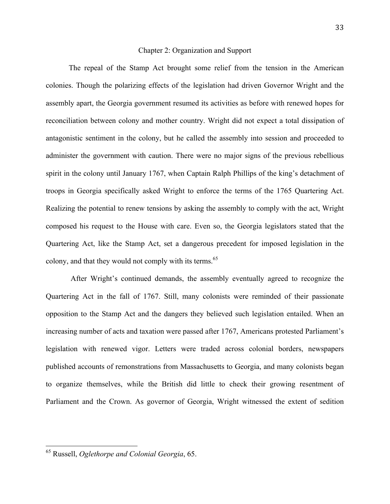#### Chapter 2: Organization and Support

The repeal of the Stamp Act brought some relief from the tension in the American colonies. Though the polarizing effects of the legislation had driven Governor Wright and the assembly apart, the Georgia government resumed its activities as before with renewed hopes for reconciliation between colony and mother country. Wright did not expect a total dissipation of antagonistic sentiment in the colony, but he called the assembly into session and proceeded to administer the government with caution. There were no major signs of the previous rebellious spirit in the colony until January 1767, when Captain Ralph Phillips of the king's detachment of troops in Georgia specifically asked Wright to enforce the terms of the 1765 Quartering Act. Realizing the potential to renew tensions by asking the assembly to comply with the act, Wright composed his request to the House with care. Even so, the Georgia legislators stated that the Quartering Act, like the Stamp Act, set a dangerous precedent for imposed legislation in the colony, and that they would not comply with its terms.<sup>65</sup>

 After Wright's continued demands, the assembly eventually agreed to recognize the Quartering Act in the fall of 1767. Still, many colonists were reminded of their passionate opposition to the Stamp Act and the dangers they believed such legislation entailed. When an increasing number of acts and taxation were passed after 1767, Americans protested Parliament's legislation with renewed vigor. Letters were traded across colonial borders, newspapers published accounts of remonstrations from Massachusetts to Georgia, and many colonists began to organize themselves, while the British did little to check their growing resentment of Parliament and the Crown. As governor of Georgia, Wright witnessed the extent of sedition

<sup>&</sup>lt;sup>65</sup> Russell, *Oglethorpe and Colonial Georgia*, 65.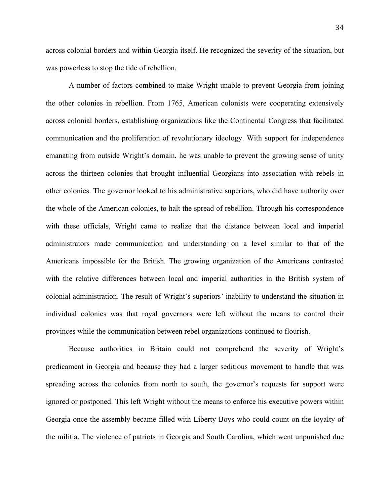across colonial borders and within Georgia itself. He recognized the severity of the situation, but was powerless to stop the tide of rebellion.

A number of factors combined to make Wright unable to prevent Georgia from joining the other colonies in rebellion. From 1765, American colonists were cooperating extensively across colonial borders, establishing organizations like the Continental Congress that facilitated communication and the proliferation of revolutionary ideology. With support for independence emanating from outside Wright's domain, he was unable to prevent the growing sense of unity across the thirteen colonies that brought influential Georgians into association with rebels in other colonies. The governor looked to his administrative superiors, who did have authority over the whole of the American colonies, to halt the spread of rebellion. Through his correspondence with these officials, Wright came to realize that the distance between local and imperial administrators made communication and understanding on a level similar to that of the Americans impossible for the British. The growing organization of the Americans contrasted with the relative differences between local and imperial authorities in the British system of colonial administration. The result of Wright's superiors' inability to understand the situation in individual colonies was that royal governors were left without the means to control their provinces while the communication between rebel organizations continued to flourish.

Because authorities in Britain could not comprehend the severity of Wright's predicament in Georgia and because they had a larger seditious movement to handle that was spreading across the colonies from north to south, the governor's requests for support were ignored or postponed. This left Wright without the means to enforce his executive powers within Georgia once the assembly became filled with Liberty Boys who could count on the loyalty of the militia. The violence of patriots in Georgia and South Carolina, which went unpunished due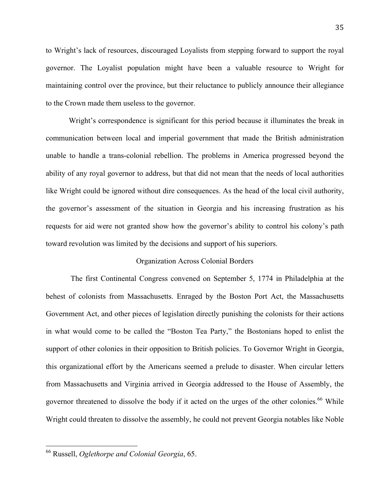to Wright's lack of resources, discouraged Loyalists from stepping forward to support the royal governor. The Loyalist population might have been a valuable resource to Wright for maintaining control over the province, but their reluctance to publicly announce their allegiance to the Crown made them useless to the governor.

Wright's correspondence is significant for this period because it illuminates the break in communication between local and imperial government that made the British administration unable to handle a trans-colonial rebellion. The problems in America progressed beyond the ability of any royal governor to address, but that did not mean that the needs of local authorities like Wright could be ignored without dire consequences. As the head of the local civil authority, the governor's assessment of the situation in Georgia and his increasing frustration as his requests for aid were not granted show how the governor's ability to control his colony's path toward revolution was limited by the decisions and support of his superiors.

### Organization Across Colonial Borders

 The first Continental Congress convened on September 5, 1774 in Philadelphia at the behest of colonists from Massachusetts. Enraged by the Boston Port Act, the Massachusetts Government Act, and other pieces of legislation directly punishing the colonists for their actions in what would come to be called the "Boston Tea Party," the Bostonians hoped to enlist the support of other colonies in their opposition to British policies. To Governor Wright in Georgia, this organizational effort by the Americans seemed a prelude to disaster. When circular letters from Massachusetts and Virginia arrived in Georgia addressed to the House of Assembly, the governor threatened to dissolve the body if it acted on the urges of the other colonies.<sup>66</sup> While Wright could threaten to dissolve the assembly, he could not prevent Georgia notables like Noble

<sup>&</sup>lt;sup>66</sup> Russell, *Oglethorpe and Colonial Georgia*, 65.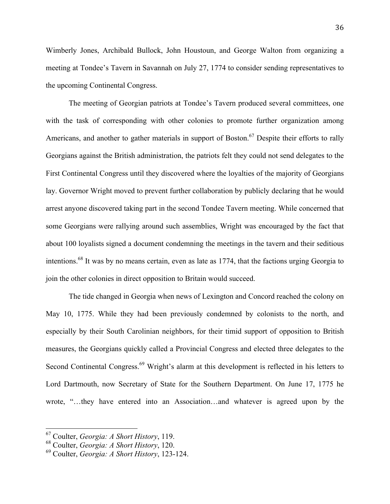Wimberly Jones, Archibald Bullock, John Houstoun, and George Walton from organizing a meeting at Tondee's Tavern in Savannah on July 27, 1774 to consider sending representatives to the upcoming Continental Congress.

The meeting of Georgian patriots at Tondee's Tavern produced several committees, one with the task of corresponding with other colonies to promote further organization among Americans, and another to gather materials in support of Boston.<sup>67</sup> Despite their efforts to rally Georgians against the British administration, the patriots felt they could not send delegates to the First Continental Congress until they discovered where the loyalties of the majority of Georgians lay. Governor Wright moved to prevent further collaboration by publicly declaring that he would arrest anyone discovered taking part in the second Tondee Tavern meeting. While concerned that some Georgians were rallying around such assemblies, Wright was encouraged by the fact that about 100 loyalists signed a document condemning the meetings in the tavern and their seditious intentions.68 It was by no means certain, even as late as 1774, that the factions urging Georgia to join the other colonies in direct opposition to Britain would succeed.

The tide changed in Georgia when news of Lexington and Concord reached the colony on May 10, 1775. While they had been previously condemned by colonists to the north, and especially by their South Carolinian neighbors, for their timid support of opposition to British measures, the Georgians quickly called a Provincial Congress and elected three delegates to the Second Continental Congress.<sup>69</sup> Wright's alarm at this development is reflected in his letters to Lord Dartmouth, now Secretary of State for the Southern Department. On June 17, 1775 he wrote, "…they have entered into an Association…and whatever is agreed upon by the

<sup>&</sup>lt;sup>67</sup> Coulter, *Georgia: A Short History*, 119.

<sup>68</sup> Coulter, *Georgia: A Short History*, 120.

<sup>69</sup> Coulter, *Georgia: A Short History*, 123-124.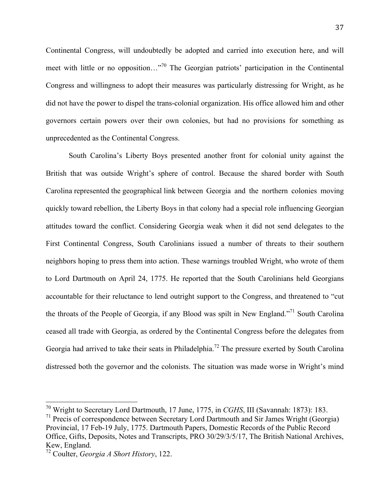Continental Congress, will undoubtedly be adopted and carried into execution here, and will meet with little or no opposition…"70 The Georgian patriots' participation in the Continental Congress and willingness to adopt their measures was particularly distressing for Wright, as he did not have the power to dispel the trans-colonial organization. His office allowed him and other governors certain powers over their own colonies, but had no provisions for something as unprecedented as the Continental Congress.

South Carolina's Liberty Boys presented another front for colonial unity against the British that was outside Wright's sphere of control. Because the shared border with South Carolina represented the geographical link between Georgia and the northern colonies moving quickly toward rebellion, the Liberty Boys in that colony had a special role influencing Georgian attitudes toward the conflict. Considering Georgia weak when it did not send delegates to the First Continental Congress, South Carolinians issued a number of threats to their southern neighbors hoping to press them into action. These warnings troubled Wright, who wrote of them to Lord Dartmouth on April 24, 1775. He reported that the South Carolinians held Georgians accountable for their reluctance to lend outright support to the Congress, and threatened to "cut the throats of the People of Georgia, if any Blood was spilt in New England."71 South Carolina ceased all trade with Georgia, as ordered by the Continental Congress before the delegates from Georgia had arrived to take their seats in Philadelphia.<sup>72</sup> The pressure exerted by South Carolina distressed both the governor and the colonists. The situation was made worse in Wright's mind

<sup>&</sup>lt;sup>70</sup> Wright to Secretary Lord Dartmouth, 17 June, 1775, in *CGHS*, III (Savannah: 1873): 183.

 $<sup>71</sup>$  Precis of correspondence between Secretary Lord Dartmouth and Sir James Wright (Georgia)</sup> Provincial, 17 Feb-19 July, 1775. Dartmouth Papers, Domestic Records of the Public Record Office, Gifts, Deposits, Notes and Transcripts, PRO 30/29/3/5/17, The British National Archives, Kew, England.

<sup>72</sup> Coulter, *Georgia A Short History*, 122.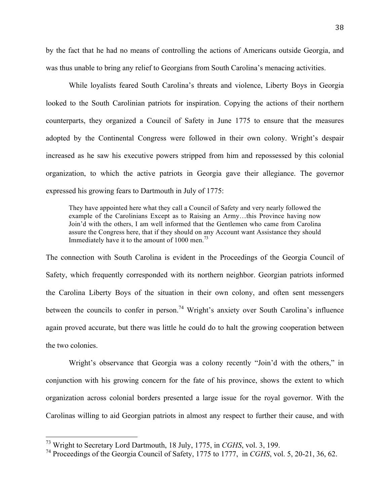by the fact that he had no means of controlling the actions of Americans outside Georgia, and was thus unable to bring any relief to Georgians from South Carolina's menacing activities.

While loyalists feared South Carolina's threats and violence, Liberty Boys in Georgia looked to the South Carolinian patriots for inspiration. Copying the actions of their northern counterparts, they organized a Council of Safety in June 1775 to ensure that the measures adopted by the Continental Congress were followed in their own colony. Wright's despair increased as he saw his executive powers stripped from him and repossessed by this colonial organization, to which the active patriots in Georgia gave their allegiance. The governor expressed his growing fears to Dartmouth in July of 1775:

They have appointed here what they call a Council of Safety and very nearly followed the example of the Carolinians Except as to Raising an Army…this Province having now Join'd with the others, I am well informed that the Gentlemen who came from Carolina assure the Congress here, that if they should on any Account want Assistance they should Immediately have it to the amount of  $1000$  men.<sup>73</sup>

The connection with South Carolina is evident in the Proceedings of the Georgia Council of Safety, which frequently corresponded with its northern neighbor. Georgian patriots informed the Carolina Liberty Boys of the situation in their own colony, and often sent messengers between the councils to confer in person.<sup>74</sup> Wright's anxiety over South Carolina's influence again proved accurate, but there was little he could do to halt the growing cooperation between the two colonies.

Wright's observance that Georgia was a colony recently "Join'd with the others," in conjunction with his growing concern for the fate of his province, shows the extent to which organization across colonial borders presented a large issue for the royal governor. With the Carolinas willing to aid Georgian patriots in almost any respect to further their cause, and with

<sup>&</sup>lt;sup>73</sup> Wright to Secretary Lord Dartmouth, 18 July, 1775, in *CGHS*, vol. 3, 199.

<sup>74</sup> Proceedings of the Georgia Council of Safety, 1775 to 1777, in *CGHS*, vol. 5, 20-21, 36, 62.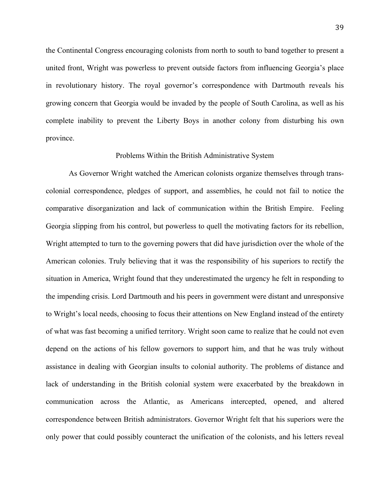the Continental Congress encouraging colonists from north to south to band together to present a united front, Wright was powerless to prevent outside factors from influencing Georgia's place in revolutionary history. The royal governor's correspondence with Dartmouth reveals his growing concern that Georgia would be invaded by the people of South Carolina, as well as his complete inability to prevent the Liberty Boys in another colony from disturbing his own province.

### Problems Within the British Administrative System

As Governor Wright watched the American colonists organize themselves through transcolonial correspondence, pledges of support, and assemblies, he could not fail to notice the comparative disorganization and lack of communication within the British Empire. Feeling Georgia slipping from his control, but powerless to quell the motivating factors for its rebellion, Wright attempted to turn to the governing powers that did have jurisdiction over the whole of the American colonies. Truly believing that it was the responsibility of his superiors to rectify the situation in America, Wright found that they underestimated the urgency he felt in responding to the impending crisis. Lord Dartmouth and his peers in government were distant and unresponsive to Wright's local needs, choosing to focus their attentions on New England instead of the entirety of what was fast becoming a unified territory. Wright soon came to realize that he could not even depend on the actions of his fellow governors to support him, and that he was truly without assistance in dealing with Georgian insults to colonial authority. The problems of distance and lack of understanding in the British colonial system were exacerbated by the breakdown in communication across the Atlantic, as Americans intercepted, opened, and altered correspondence between British administrators. Governor Wright felt that his superiors were the only power that could possibly counteract the unification of the colonists, and his letters reveal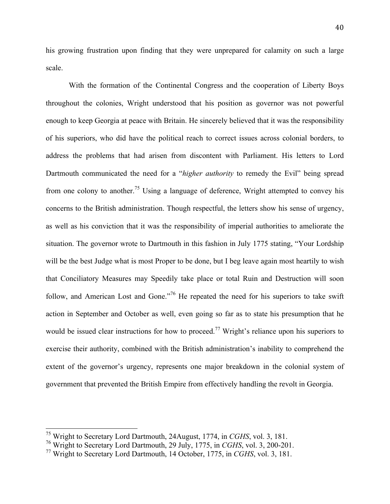his growing frustration upon finding that they were unprepared for calamity on such a large scale.

With the formation of the Continental Congress and the cooperation of Liberty Boys throughout the colonies, Wright understood that his position as governor was not powerful enough to keep Georgia at peace with Britain. He sincerely believed that it was the responsibility of his superiors, who did have the political reach to correct issues across colonial borders, to address the problems that had arisen from discontent with Parliament. His letters to Lord Dartmouth communicated the need for a "*higher authority* to remedy the Evil" being spread from one colony to another.<sup>75</sup> Using a language of deference, Wright attempted to convey his concerns to the British administration. Though respectful, the letters show his sense of urgency, as well as his conviction that it was the responsibility of imperial authorities to ameliorate the situation. The governor wrote to Dartmouth in this fashion in July 1775 stating, "Your Lordship will be the best Judge what is most Proper to be done, but I beg leave again most heartily to wish that Conciliatory Measures may Speedily take place or total Ruin and Destruction will soon follow, and American Lost and Gone.<sup> $,76$ </sup> He repeated the need for his superiors to take swift action in September and October as well, even going so far as to state his presumption that he would be issued clear instructions for how to proceed.<sup>77</sup> Wright's reliance upon his superiors to exercise their authority, combined with the British administration's inability to comprehend the extent of the governor's urgency, represents one major breakdown in the colonial system of government that prevented the British Empire from effectively handling the revolt in Georgia.

<sup>&</sup>lt;sup>75</sup> Wright to Secretary Lord Dartmouth, 24August, 1774, in *CGHS*, vol. 3, 181.

<sup>76</sup> Wright to Secretary Lord Dartmouth, 29 July, 1775, in *CGHS*, vol. 3, 200-201.

<sup>77</sup> Wright to Secretary Lord Dartmouth, 14 October, 1775, in *CGHS*, vol. 3, 181.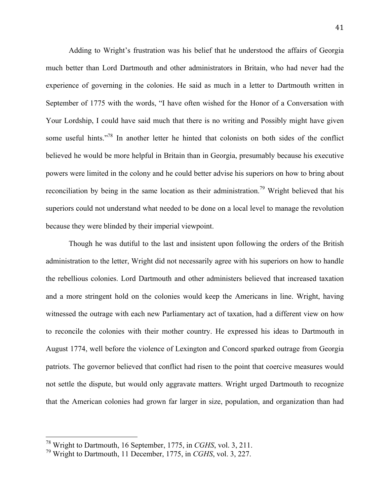Adding to Wright's frustration was his belief that he understood the affairs of Georgia much better than Lord Dartmouth and other administrators in Britain, who had never had the experience of governing in the colonies. He said as much in a letter to Dartmouth written in September of 1775 with the words, "I have often wished for the Honor of a Conversation with Your Lordship, I could have said much that there is no writing and Possibly might have given some useful hints."<sup>78</sup> In another letter he hinted that colonists on both sides of the conflict believed he would be more helpful in Britain than in Georgia, presumably because his executive powers were limited in the colony and he could better advise his superiors on how to bring about reconciliation by being in the same location as their administration.<sup>79</sup> Wright believed that his superiors could not understand what needed to be done on a local level to manage the revolution because they were blinded by their imperial viewpoint.

Though he was dutiful to the last and insistent upon following the orders of the British administration to the letter, Wright did not necessarily agree with his superiors on how to handle the rebellious colonies. Lord Dartmouth and other administers believed that increased taxation and a more stringent hold on the colonies would keep the Americans in line. Wright, having witnessed the outrage with each new Parliamentary act of taxation, had a different view on how to reconcile the colonies with their mother country. He expressed his ideas to Dartmouth in August 1774, well before the violence of Lexington and Concord sparked outrage from Georgia patriots. The governor believed that conflict had risen to the point that coercive measures would not settle the dispute, but would only aggravate matters. Wright urged Dartmouth to recognize that the American colonies had grown far larger in size, population, and organization than had

<sup>&</sup>lt;sup>78</sup> Wright to Dartmouth, 16 September, 1775, in *CGHS*, vol. 3, 211.

<sup>79</sup> Wright to Dartmouth, 11 December, 1775, in *CGHS*, vol. 3, 227.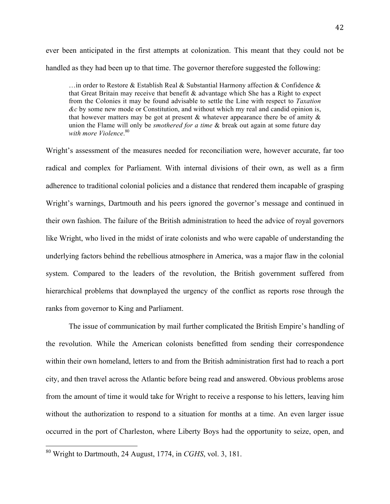ever been anticipated in the first attempts at colonization. This meant that they could not be handled as they had been up to that time. The governor therefore suggested the following:

 $\ldots$  in order to Restore & Establish Real & Substantial Harmony affection & Confidence & that Great Britain may receive that benefit  $\&$  advantage which She has a Right to expect from the Colonies it may be found advisable to settle the Line with respect to *Taxation &c* by some new mode or Constitution, and without which my real and candid opinion is, that however matters may be got at present  $\&$  whatever appearance there be of amity  $\&$ union the Flame will only be *smothered for a time* & break out again at some future day *with more Violence*. 80

Wright's assessment of the measures needed for reconciliation were, however accurate, far too radical and complex for Parliament. With internal divisions of their own, as well as a firm adherence to traditional colonial policies and a distance that rendered them incapable of grasping Wright's warnings, Dartmouth and his peers ignored the governor's message and continued in their own fashion. The failure of the British administration to heed the advice of royal governors like Wright, who lived in the midst of irate colonists and who were capable of understanding the underlying factors behind the rebellious atmosphere in America, was a major flaw in the colonial system. Compared to the leaders of the revolution, the British government suffered from hierarchical problems that downplayed the urgency of the conflict as reports rose through the ranks from governor to King and Parliament.

The issue of communication by mail further complicated the British Empire's handling of the revolution. While the American colonists benefitted from sending their correspondence within their own homeland, letters to and from the British administration first had to reach a port city, and then travel across the Atlantic before being read and answered. Obvious problems arose from the amount of time it would take for Wright to receive a response to his letters, leaving him without the authorization to respond to a situation for months at a time. An even larger issue occurred in the port of Charleston, where Liberty Boys had the opportunity to seize, open, and

<sup>&</sup>lt;sup>80</sup> Wright to Dartmouth, 24 August, 1774, in *CGHS*, vol. 3, 181.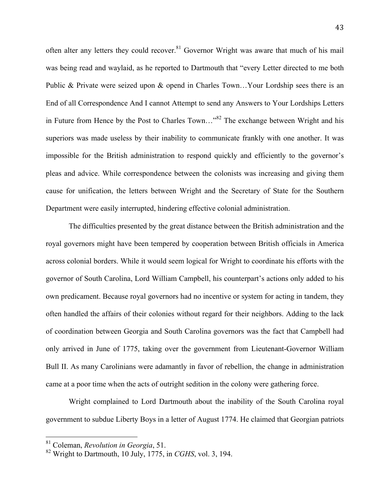often alter any letters they could recover.<sup>81</sup> Governor Wright was aware that much of his mail was being read and waylaid, as he reported to Dartmouth that "every Letter directed to me both Public & Private were seized upon & opend in Charles Town...Your Lordship sees there is an End of all Correspondence And I cannot Attempt to send any Answers to Your Lordships Letters in Future from Hence by the Post to Charles Town..."<sup>82</sup> The exchange between Wright and his superiors was made useless by their inability to communicate frankly with one another. It was impossible for the British administration to respond quickly and efficiently to the governor's pleas and advice. While correspondence between the colonists was increasing and giving them cause for unification, the letters between Wright and the Secretary of State for the Southern Department were easily interrupted, hindering effective colonial administration.

The difficulties presented by the great distance between the British administration and the royal governors might have been tempered by cooperation between British officials in America across colonial borders. While it would seem logical for Wright to coordinate his efforts with the governor of South Carolina, Lord William Campbell, his counterpart's actions only added to his own predicament. Because royal governors had no incentive or system for acting in tandem, they often handled the affairs of their colonies without regard for their neighbors. Adding to the lack of coordination between Georgia and South Carolina governors was the fact that Campbell had only arrived in June of 1775, taking over the government from Lieutenant-Governor William Bull II. As many Carolinians were adamantly in favor of rebellion, the change in administration came at a poor time when the acts of outright sedition in the colony were gathering force.

Wright complained to Lord Dartmouth about the inability of the South Carolina royal government to subdue Liberty Boys in a letter of August 1774. He claimed that Georgian patriots

<sup>&</sup>lt;sup>81</sup> Coleman, *Revolution in Georgia*, 51.

<sup>82</sup> Wright to Dartmouth, 10 July, 1775, in *CGHS*, vol. 3, 194.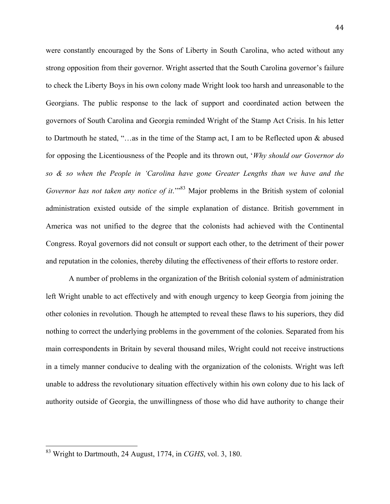were constantly encouraged by the Sons of Liberty in South Carolina, who acted without any strong opposition from their governor. Wright asserted that the South Carolina governor's failure to check the Liberty Boys in his own colony made Wright look too harsh and unreasonable to the Georgians. The public response to the lack of support and coordinated action between the governors of South Carolina and Georgia reminded Wright of the Stamp Act Crisis. In his letter to Dartmouth he stated, "…as in the time of the Stamp act, I am to be Reflected upon & abused for opposing the Licentiousness of the People and its thrown out, '*Why should our Governor do so & so when the People in 'Carolina have gone Greater Lengths than we have and the Governor has not taken any notice of it.*<sup>"83</sup> Major problems in the British system of colonial administration existed outside of the simple explanation of distance. British government in America was not unified to the degree that the colonists had achieved with the Continental Congress. Royal governors did not consult or support each other, to the detriment of their power and reputation in the colonies, thereby diluting the effectiveness of their efforts to restore order.

A number of problems in the organization of the British colonial system of administration left Wright unable to act effectively and with enough urgency to keep Georgia from joining the other colonies in revolution. Though he attempted to reveal these flaws to his superiors, they did nothing to correct the underlying problems in the government of the colonies. Separated from his main correspondents in Britain by several thousand miles, Wright could not receive instructions in a timely manner conducive to dealing with the organization of the colonists. Wright was left unable to address the revolutionary situation effectively within his own colony due to his lack of authority outside of Georgia, the unwillingness of those who did have authority to change their

<sup>&</sup>lt;sup>83</sup> Wright to Dartmouth, 24 August, 1774, in *CGHS*, vol. 3, 180.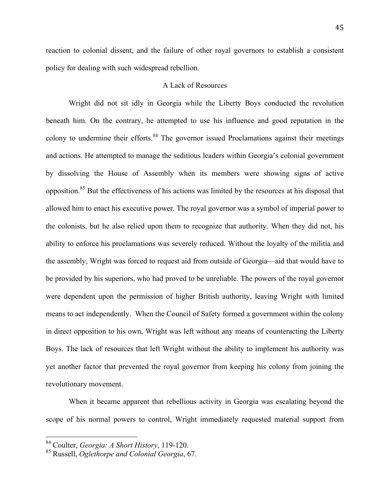reaction to colonial dissent, and the failure of other royal governors to establish a consistent policy for dealing with such widespread rebellion.

# A Lack of Resources

Wright did not sit idly in Georgia while the Liberty Boys conducted the revolution beneath him. On the contrary, he attempted to use his influence and good reputation in the colony to undermine their efforts.<sup>84</sup> The governor issued Proclamations against their meetings and actions. He attempted to manage the seditious leaders within Georgia's colonial government by dissolving the House of Assembly when its members were showing signs of active opposition.85 But the effectiveness of his actions was limited by the resources at his disposal that allowed him to enact his executive power. The royal governor was a symbol of imperial power to the colonists, but he also relied upon them to recognize that authority. When they did not, his ability to enforce his proclamations was severely reduced. Without the loyalty of the militia and the assembly, Wright was forced to request aid from outside of Georgia—aid that would have to be provided by his superiors, who had proved to be unreliable. The powers of the royal governor were dependent upon the permission of higher British authority, leaving Wright with limited means to act independently. When the Council of Safety formed a government within the colony in direct opposition to his own, Wright was left without any means of counteracting the Liberty Boys. The lack of resources that left Wright without the ability to implement his authority was yet another factor that prevented the royal governor from keeping his colony from joining the revolutionary movement.

When it became apparent that rebellious activity in Georgia was escalating beyond the scope of his normal powers to control, Wright immediately requested material support from

<sup>&</sup>lt;sup>84</sup> Coulter, *Georgia: A Short History*, 119-120.

<sup>85</sup> Russell, *Oglethorpe and Colonial Georgia*, 67.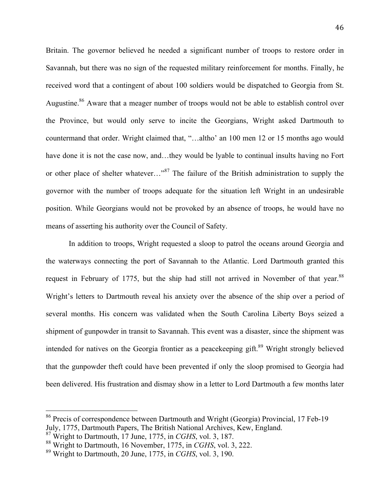Britain. The governor believed he needed a significant number of troops to restore order in Savannah, but there was no sign of the requested military reinforcement for months. Finally, he received word that a contingent of about 100 soldiers would be dispatched to Georgia from St. Augustine.<sup>86</sup> Aware that a meager number of troops would not be able to establish control over the Province, but would only serve to incite the Georgians, Wright asked Dartmouth to countermand that order. Wright claimed that, "…altho' an 100 men 12 or 15 months ago would have done it is not the case now, and…they would be lyable to continual insults having no Fort or other place of shelter whatever..."<sup>87</sup> The failure of the British administration to supply the governor with the number of troops adequate for the situation left Wright in an undesirable position. While Georgians would not be provoked by an absence of troops, he would have no means of asserting his authority over the Council of Safety.

In addition to troops, Wright requested a sloop to patrol the oceans around Georgia and the waterways connecting the port of Savannah to the Atlantic. Lord Dartmouth granted this request in February of 1775, but the ship had still not arrived in November of that year.<sup>88</sup> Wright's letters to Dartmouth reveal his anxiety over the absence of the ship over a period of several months. His concern was validated when the South Carolina Liberty Boys seized a shipment of gunpowder in transit to Savannah. This event was a disaster, since the shipment was intended for natives on the Georgia frontier as a peace keeping gift.<sup>89</sup> Wright strongly believed that the gunpowder theft could have been prevented if only the sloop promised to Georgia had been delivered. His frustration and dismay show in a letter to Lord Dartmouth a few months later

<sup>&</sup>lt;sup>86</sup> Precis of correspondence between Dartmouth and Wright (Georgia) Provincial, 17 Feb-19 July, 1775, Dartmouth Papers, The British National Archives, Kew, England.

<sup>87</sup> Wright to Dartmouth, 17 June, 1775, in *CGHS*, vol. 3, 187.

<sup>88</sup> Wright to Dartmouth, 16 November, 1775, in *CGHS*, vol. 3, 222.

<sup>89</sup> Wright to Dartmouth, 20 June, 1775, in *CGHS*, vol. 3, 190.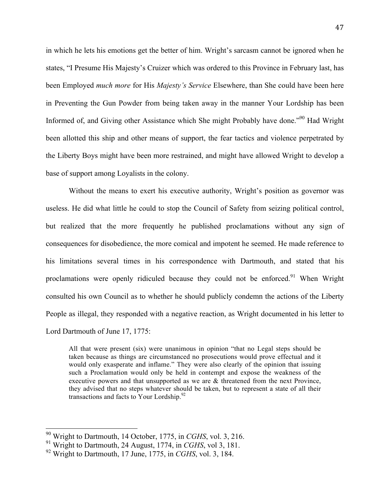in which he lets his emotions get the better of him. Wright's sarcasm cannot be ignored when he states, "I Presume His Majesty's Cruizer which was ordered to this Province in February last, has been Employed *much more* for His *Majesty's Service* Elsewhere, than She could have been here in Preventing the Gun Powder from being taken away in the manner Your Lordship has been Informed of, and Giving other Assistance which She might Probably have done."90 Had Wright been allotted this ship and other means of support, the fear tactics and violence perpetrated by the Liberty Boys might have been more restrained, and might have allowed Wright to develop a base of support among Loyalists in the colony.

Without the means to exert his executive authority, Wright's position as governor was useless. He did what little he could to stop the Council of Safety from seizing political control, but realized that the more frequently he published proclamations without any sign of consequences for disobedience, the more comical and impotent he seemed. He made reference to his limitations several times in his correspondence with Dartmouth, and stated that his proclamations were openly ridiculed because they could not be enforced.<sup>91</sup> When Wright consulted his own Council as to whether he should publicly condemn the actions of the Liberty People as illegal, they responded with a negative reaction, as Wright documented in his letter to Lord Dartmouth of June 17, 1775:

All that were present (six) were unanimous in opinion "that no Legal steps should be taken because as things are circumstanced no prosecutions would prove effectual and it would only exasperate and inflame." They were also clearly of the opinion that issuing such a Proclamation would only be held in contempt and expose the weakness of the executive powers and that unsupported as we are & threatened from the next Province, they advised that no steps whatever should be taken, but to represent a state of all their transactions and facts to Your Lordship.<sup>92</sup>

<sup>&</sup>lt;sup>90</sup> Wright to Dartmouth, 14 October, 1775, in *CGHS*, vol. 3, 216.

<sup>91</sup> Wright to Dartmouth, 24 August, 1774, in *CGHS*, vol 3, 181.

<sup>92</sup> Wright to Dartmouth, 17 June, 1775, in *CGHS*, vol. 3, 184.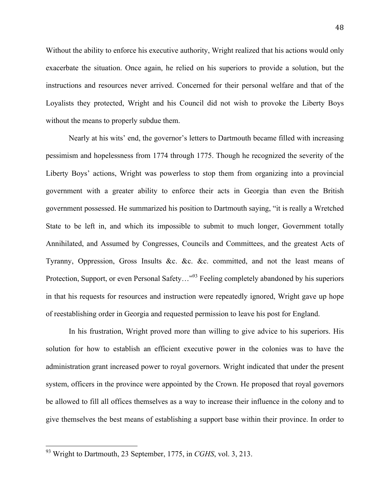Without the ability to enforce his executive authority, Wright realized that his actions would only exacerbate the situation. Once again, he relied on his superiors to provide a solution, but the instructions and resources never arrived. Concerned for their personal welfare and that of the Loyalists they protected, Wright and his Council did not wish to provoke the Liberty Boys without the means to properly subdue them.

Nearly at his wits' end, the governor's letters to Dartmouth became filled with increasing pessimism and hopelessness from 1774 through 1775. Though he recognized the severity of the Liberty Boys' actions, Wright was powerless to stop them from organizing into a provincial government with a greater ability to enforce their acts in Georgia than even the British government possessed. He summarized his position to Dartmouth saying, "it is really a Wretched State to be left in, and which its impossible to submit to much longer, Government totally Annihilated, and Assumed by Congresses, Councils and Committees, and the greatest Acts of Tyranny, Oppression, Gross Insults &c. &c. &c. committed, and not the least means of Protection, Support, or even Personal Safety..."<sup>93</sup> Feeling completely abandoned by his superiors in that his requests for resources and instruction were repeatedly ignored, Wright gave up hope of reestablishing order in Georgia and requested permission to leave his post for England.

In his frustration, Wright proved more than willing to give advice to his superiors. His solution for how to establish an efficient executive power in the colonies was to have the administration grant increased power to royal governors. Wright indicated that under the present system, officers in the province were appointed by the Crown. He proposed that royal governors be allowed to fill all offices themselves as a way to increase their influence in the colony and to give themselves the best means of establishing a support base within their province. In order to

<sup>&</sup>lt;sup>93</sup> Wright to Dartmouth, 23 September, 1775, in *CGHS*, vol. 3, 213.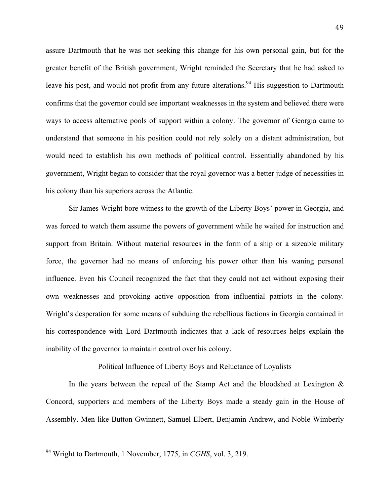assure Dartmouth that he was not seeking this change for his own personal gain, but for the greater benefit of the British government, Wright reminded the Secretary that he had asked to leave his post, and would not profit from any future alterations.<sup>94</sup> His suggestion to Dartmouth confirms that the governor could see important weaknesses in the system and believed there were ways to access alternative pools of support within a colony. The governor of Georgia came to understand that someone in his position could not rely solely on a distant administration, but would need to establish his own methods of political control. Essentially abandoned by his government, Wright began to consider that the royal governor was a better judge of necessities in his colony than his superiors across the Atlantic.

Sir James Wright bore witness to the growth of the Liberty Boys' power in Georgia, and was forced to watch them assume the powers of government while he waited for instruction and support from Britain. Without material resources in the form of a ship or a sizeable military force, the governor had no means of enforcing his power other than his waning personal influence. Even his Council recognized the fact that they could not act without exposing their own weaknesses and provoking active opposition from influential patriots in the colony. Wright's desperation for some means of subduing the rebellious factions in Georgia contained in his correspondence with Lord Dartmouth indicates that a lack of resources helps explain the inability of the governor to maintain control over his colony.

#### Political Influence of Liberty Boys and Reluctance of Loyalists

In the years between the repeal of the Stamp Act and the bloodshed at Lexington  $\&$ Concord, supporters and members of the Liberty Boys made a steady gain in the House of Assembly. Men like Button Gwinnett, Samuel Elbert, Benjamin Andrew, and Noble Wimberly

<sup>&</sup>lt;sup>94</sup> Wright to Dartmouth, 1 November, 1775, in *CGHS*, vol. 3, 219.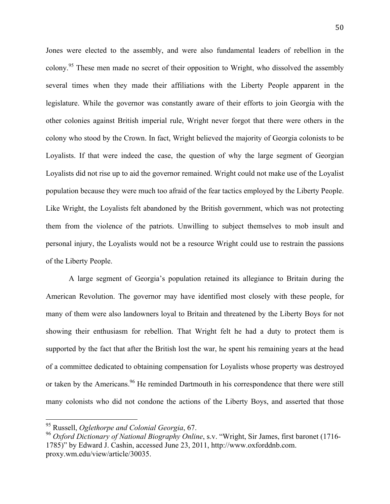Jones were elected to the assembly, and were also fundamental leaders of rebellion in the colony.<sup>95</sup> These men made no secret of their opposition to Wright, who dissolved the assembly several times when they made their affiliations with the Liberty People apparent in the legislature. While the governor was constantly aware of their efforts to join Georgia with the other colonies against British imperial rule, Wright never forgot that there were others in the colony who stood by the Crown. In fact, Wright believed the majority of Georgia colonists to be Loyalists. If that were indeed the case, the question of why the large segment of Georgian Loyalists did not rise up to aid the governor remained. Wright could not make use of the Loyalist population because they were much too afraid of the fear tactics employed by the Liberty People. Like Wright, the Loyalists felt abandoned by the British government, which was not protecting them from the violence of the patriots. Unwilling to subject themselves to mob insult and personal injury, the Loyalists would not be a resource Wright could use to restrain the passions of the Liberty People.

A large segment of Georgia's population retained its allegiance to Britain during the American Revolution. The governor may have identified most closely with these people, for many of them were also landowners loyal to Britain and threatened by the Liberty Boys for not showing their enthusiasm for rebellion. That Wright felt he had a duty to protect them is supported by the fact that after the British lost the war, he spent his remaining years at the head of a committee dedicated to obtaining compensation for Loyalists whose property was destroyed or taken by the Americans.<sup>96</sup> He reminded Dartmouth in his correspondence that there were still many colonists who did not condone the actions of the Liberty Boys, and asserted that those

<sup>&</sup>lt;sup>95</sup> Russell, *Oglethorpe and Colonial Georgia*, 67.

<sup>96</sup> *Oxford Dictionary of National Biography Online*, s.v. "Wright, Sir James, first baronet (1716- 1785)" by Edward J. Cashin, accessed June 23, 2011, http://www.oxforddnb.com. proxy.wm.edu/view/article/30035.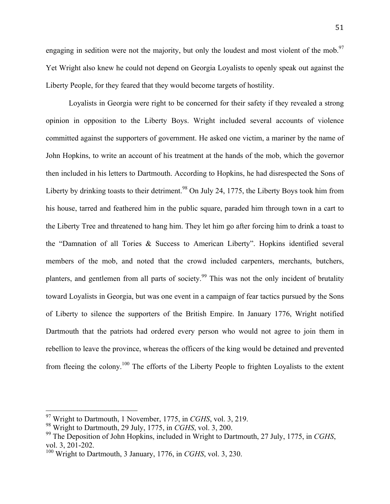51

engaging in sedition were not the majority, but only the loudest and most violent of the mob.<sup>97</sup> Yet Wright also knew he could not depend on Georgia Loyalists to openly speak out against the Liberty People, for they feared that they would become targets of hostility.

Loyalists in Georgia were right to be concerned for their safety if they revealed a strong opinion in opposition to the Liberty Boys. Wright included several accounts of violence committed against the supporters of government. He asked one victim, a mariner by the name of John Hopkins, to write an account of his treatment at the hands of the mob, which the governor then included in his letters to Dartmouth. According to Hopkins, he had disrespected the Sons of Liberty by drinking toasts to their detriment.<sup>98</sup> On July 24, 1775, the Liberty Boys took him from his house, tarred and feathered him in the public square, paraded him through town in a cart to the Liberty Tree and threatened to hang him. They let him go after forcing him to drink a toast to the "Damnation of all Tories & Success to American Liberty". Hopkins identified several members of the mob, and noted that the crowd included carpenters, merchants, butchers, planters, and gentlemen from all parts of society.<sup>99</sup> This was not the only incident of brutality toward Loyalists in Georgia, but was one event in a campaign of fear tactics pursued by the Sons of Liberty to silence the supporters of the British Empire. In January 1776, Wright notified Dartmouth that the patriots had ordered every person who would not agree to join them in rebellion to leave the province, whereas the officers of the king would be detained and prevented from fleeing the colony.<sup>100</sup> The efforts of the Liberty People to frighten Loyalists to the extent

<sup>&</sup>lt;sup>97</sup> Wright to Dartmouth, 1 November, 1775, in *CGHS*, vol. 3, 219.

<sup>98</sup> Wright to Dartmouth, 29 July, 1775, in *CGHS*, vol. 3, 200.

<sup>99</sup> The Deposition of John Hopkins, included in Wright to Dartmouth, 27 July, 1775, in *CGHS*, vol. 3, 201-202.

<sup>100</sup> Wright to Dartmouth, 3 January, 1776, in *CGHS*, vol. 3, 230.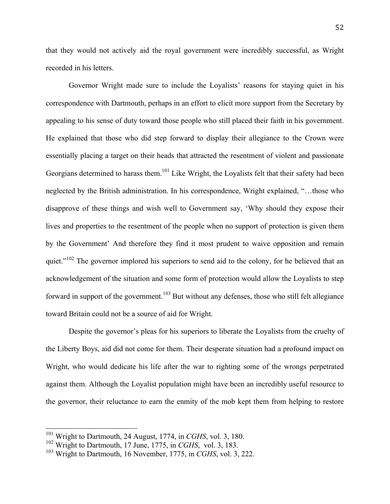that they would not actively aid the royal government were incredibly successful, as Wright recorded in his letters.

Governor Wright made sure to include the Loyalists' reasons for staying quiet in his correspondence with Dartmouth, perhaps in an effort to elicit more support from the Secretary by appealing to his sense of duty toward those people who still placed their faith in his government. He explained that those who did step forward to display their allegiance to the Crown were essentially placing a target on their heads that attracted the resentment of violent and passionate Georgians determined to harass them.<sup>101</sup> Like Wright, the Loyalists felt that their safety had been neglected by the British administration. In his correspondence, Wright explained, "…those who disapprove of these things and wish well to Government say, 'Why should they expose their lives and properties to the resentment of the people when no support of protection is given them by the Government' And therefore they find it most prudent to waive opposition and remain quiet."<sup>102</sup> The governor implored his superiors to send aid to the colony, for he believed that an acknowledgement of the situation and some form of protection would allow the Loyalists to step forward in support of the government.<sup>103</sup> But without any defenses, those who still felt allegiance toward Britain could not be a source of aid for Wright.

Despite the governor's pleas for his superiors to liberate the Loyalists from the cruelty of the Liberty Boys, aid did not come for them. Their desperate situation had a profound impact on Wright, who would dedicate his life after the war to righting some of the wrongs perpetrated against them. Although the Loyalist population might have been an incredibly useful resource to the governor, their reluctance to earn the enmity of the mob kept them from helping to restore

<sup>&</sup>lt;sup>101</sup> Wright to Dartmouth, 24 August, 1774, in *CGHS*, vol. 3, 180.

<sup>102</sup> Wright to Dartmouth, 17 June, 1775, in *CGHS*, vol. 3, 183.

<sup>103</sup> Wright to Dartmouth, 16 November, 1775, in *CGHS*, vol. 3, 222.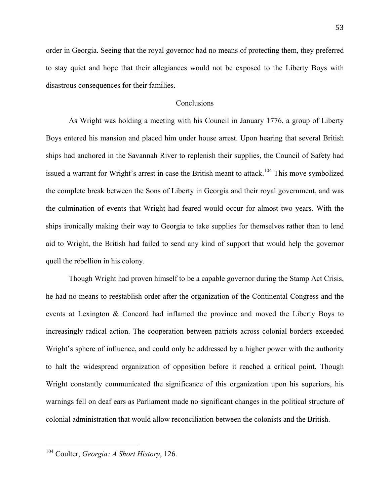order in Georgia. Seeing that the royal governor had no means of protecting them, they preferred to stay quiet and hope that their allegiances would not be exposed to the Liberty Boys with disastrous consequences for their families.

## **Conclusions**

As Wright was holding a meeting with his Council in January 1776, a group of Liberty Boys entered his mansion and placed him under house arrest. Upon hearing that several British ships had anchored in the Savannah River to replenish their supplies, the Council of Safety had issued a warrant for Wright's arrest in case the British meant to attack.<sup>104</sup> This move symbolized the complete break between the Sons of Liberty in Georgia and their royal government, and was the culmination of events that Wright had feared would occur for almost two years. With the ships ironically making their way to Georgia to take supplies for themselves rather than to lend aid to Wright, the British had failed to send any kind of support that would help the governor quell the rebellion in his colony.

Though Wright had proven himself to be a capable governor during the Stamp Act Crisis, he had no means to reestablish order after the organization of the Continental Congress and the events at Lexington & Concord had inflamed the province and moved the Liberty Boys to increasingly radical action. The cooperation between patriots across colonial borders exceeded Wright's sphere of influence, and could only be addressed by a higher power with the authority to halt the widespread organization of opposition before it reached a critical point. Though Wright constantly communicated the significance of this organization upon his superiors, his warnings fell on deaf ears as Parliament made no significant changes in the political structure of colonial administration that would allow reconciliation between the colonists and the British.

<sup>&</sup>lt;sup>104</sup> Coulter, *Georgia: A Short History*, 126.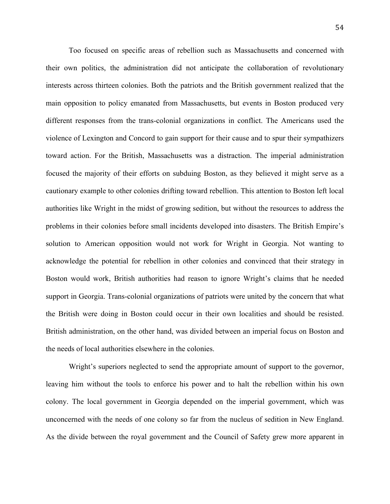Too focused on specific areas of rebellion such as Massachusetts and concerned with their own politics, the administration did not anticipate the collaboration of revolutionary interests across thirteen colonies. Both the patriots and the British government realized that the main opposition to policy emanated from Massachusetts, but events in Boston produced very different responses from the trans-colonial organizations in conflict. The Americans used the violence of Lexington and Concord to gain support for their cause and to spur their sympathizers toward action. For the British, Massachusetts was a distraction. The imperial administration focused the majority of their efforts on subduing Boston, as they believed it might serve as a cautionary example to other colonies drifting toward rebellion. This attention to Boston left local authorities like Wright in the midst of growing sedition, but without the resources to address the problems in their colonies before small incidents developed into disasters. The British Empire's solution to American opposition would not work for Wright in Georgia. Not wanting to acknowledge the potential for rebellion in other colonies and convinced that their strategy in Boston would work, British authorities had reason to ignore Wright's claims that he needed support in Georgia. Trans-colonial organizations of patriots were united by the concern that what the British were doing in Boston could occur in their own localities and should be resisted. British administration, on the other hand, was divided between an imperial focus on Boston and the needs of local authorities elsewhere in the colonies.

Wright's superiors neglected to send the appropriate amount of support to the governor, leaving him without the tools to enforce his power and to halt the rebellion within his own colony. The local government in Georgia depended on the imperial government, which was unconcerned with the needs of one colony so far from the nucleus of sedition in New England. As the divide between the royal government and the Council of Safety grew more apparent in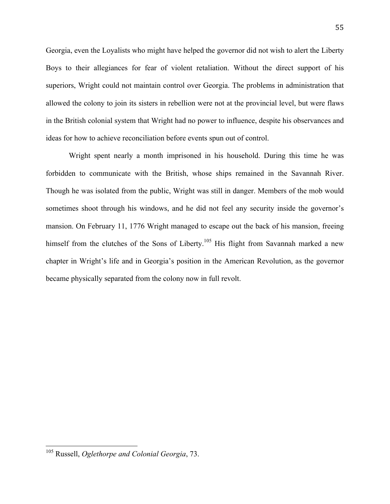Georgia, even the Loyalists who might have helped the governor did not wish to alert the Liberty Boys to their allegiances for fear of violent retaliation. Without the direct support of his superiors, Wright could not maintain control over Georgia. The problems in administration that allowed the colony to join its sisters in rebellion were not at the provincial level, but were flaws in the British colonial system that Wright had no power to influence, despite his observances and ideas for how to achieve reconciliation before events spun out of control.

Wright spent nearly a month imprisoned in his household. During this time he was forbidden to communicate with the British, whose ships remained in the Savannah River. Though he was isolated from the public, Wright was still in danger. Members of the mob would sometimes shoot through his windows, and he did not feel any security inside the governor's mansion. On February 11, 1776 Wright managed to escape out the back of his mansion, freeing himself from the clutches of the Sons of Liberty.<sup>105</sup> His flight from Savannah marked a new chapter in Wright's life and in Georgia's position in the American Revolution, as the governor became physically separated from the colony now in full revolt.

<sup>&</sup>lt;sup>105</sup> Russell, *Oglethorpe and Colonial Georgia*, 73.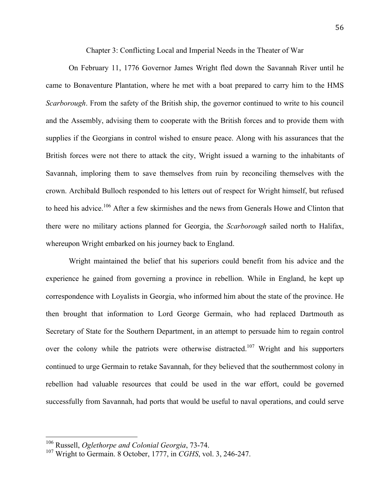Chapter 3: Conflicting Local and Imperial Needs in the Theater of War

On February 11, 1776 Governor James Wright fled down the Savannah River until he came to Bonaventure Plantation, where he met with a boat prepared to carry him to the HMS *Scarborough*. From the safety of the British ship, the governor continued to write to his council and the Assembly, advising them to cooperate with the British forces and to provide them with supplies if the Georgians in control wished to ensure peace. Along with his assurances that the British forces were not there to attack the city, Wright issued a warning to the inhabitants of Savannah, imploring them to save themselves from ruin by reconciling themselves with the crown. Archibald Bulloch responded to his letters out of respect for Wright himself, but refused to heed his advice.<sup>106</sup> After a few skirmishes and the news from Generals Howe and Clinton that there were no military actions planned for Georgia, the *Scarborough* sailed north to Halifax, whereupon Wright embarked on his journey back to England.

Wright maintained the belief that his superiors could benefit from his advice and the experience he gained from governing a province in rebellion. While in England, he kept up correspondence with Loyalists in Georgia, who informed him about the state of the province. He then brought that information to Lord George Germain, who had replaced Dartmouth as Secretary of State for the Southern Department, in an attempt to persuade him to regain control over the colony while the patriots were otherwise distracted.<sup>107</sup> Wright and his supporters continued to urge Germain to retake Savannah, for they believed that the southernmost colony in rebellion had valuable resources that could be used in the war effort, could be governed successfully from Savannah, had ports that would be useful to naval operations, and could serve

<sup>&</sup>lt;sup>106</sup> Russell, *Oglethorpe and Colonial Georgia*, 73-74.

<sup>107</sup> Wright to Germain. 8 October, 1777, in *CGHS*, vol. 3, 246-247.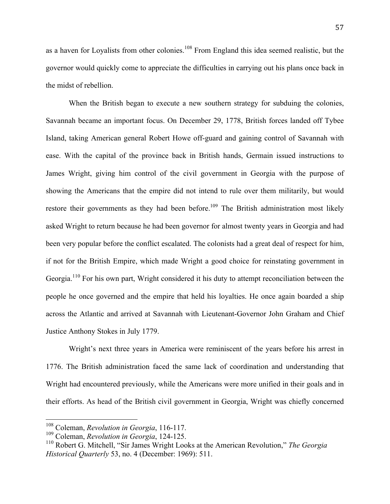as a haven for Loyalists from other colonies.<sup>108</sup> From England this idea seemed realistic, but the governor would quickly come to appreciate the difficulties in carrying out his plans once back in the midst of rebellion.

When the British began to execute a new southern strategy for subduing the colonies, Savannah became an important focus. On December 29, 1778, British forces landed off Tybee Island, taking American general Robert Howe off-guard and gaining control of Savannah with ease. With the capital of the province back in British hands, Germain issued instructions to James Wright, giving him control of the civil government in Georgia with the purpose of showing the Americans that the empire did not intend to rule over them militarily, but would restore their governments as they had been before.<sup>109</sup> The British administration most likely asked Wright to return because he had been governor for almost twenty years in Georgia and had been very popular before the conflict escalated. The colonists had a great deal of respect for him, if not for the British Empire, which made Wright a good choice for reinstating government in Georgia.<sup>110</sup> For his own part, Wright considered it his duty to attempt reconciliation between the people he once governed and the empire that held his loyalties. He once again boarded a ship across the Atlantic and arrived at Savannah with Lieutenant-Governor John Graham and Chief Justice Anthony Stokes in July 1779.

Wright's next three years in America were reminiscent of the years before his arrest in 1776. The British administration faced the same lack of coordination and understanding that Wright had encountered previously, while the Americans were more unified in their goals and in their efforts. As head of the British civil government in Georgia, Wright was chiefly concerned

<sup>&</sup>lt;sup>108</sup> Coleman, *Revolution in Georgia*, 116-117.

<sup>109</sup> Coleman, *Revolution in Georgia*, 124-125.

<sup>110</sup> Robert G. Mitchell, "Sir James Wright Looks at the American Revolution," *The Georgia Historical Quarterly* 53, no. 4 (December: 1969): 511.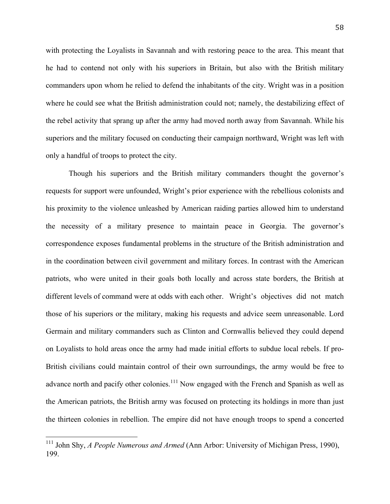with protecting the Loyalists in Savannah and with restoring peace to the area. This meant that he had to contend not only with his superiors in Britain, but also with the British military commanders upon whom he relied to defend the inhabitants of the city. Wright was in a position where he could see what the British administration could not; namely, the destabilizing effect of the rebel activity that sprang up after the army had moved north away from Savannah. While his superiors and the military focused on conducting their campaign northward, Wright was left with only a handful of troops to protect the city.

Though his superiors and the British military commanders thought the governor's requests for support were unfounded, Wright's prior experience with the rebellious colonists and his proximity to the violence unleashed by American raiding parties allowed him to understand the necessity of a military presence to maintain peace in Georgia. The governor's correspondence exposes fundamental problems in the structure of the British administration and in the coordination between civil government and military forces. In contrast with the American patriots, who were united in their goals both locally and across state borders, the British at different levels of command were at odds with each other. Wright's objectives did not match those of his superiors or the military, making his requests and advice seem unreasonable. Lord Germain and military commanders such as Clinton and Cornwallis believed they could depend on Loyalists to hold areas once the army had made initial efforts to subdue local rebels. If pro-British civilians could maintain control of their own surroundings, the army would be free to advance north and pacify other colonies.<sup>111</sup> Now engaged with the French and Spanish as well as the American patriots, the British army was focused on protecting its holdings in more than just the thirteen colonies in rebellion. The empire did not have enough troops to spend a concerted

<sup>&</sup>lt;sup>111</sup> John Shy, *A People Numerous and Armed* (Ann Arbor: University of Michigan Press, 1990), 199.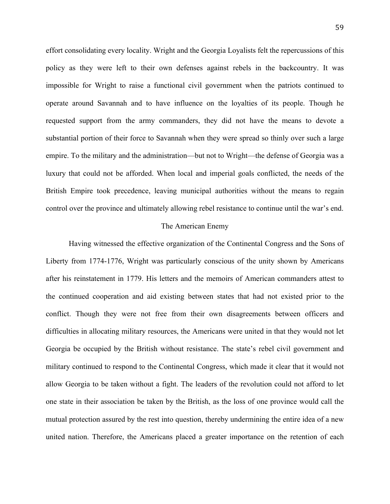effort consolidating every locality. Wright and the Georgia Loyalists felt the repercussions of this policy as they were left to their own defenses against rebels in the backcountry. It was impossible for Wright to raise a functional civil government when the patriots continued to operate around Savannah and to have influence on the loyalties of its people. Though he requested support from the army commanders, they did not have the means to devote a substantial portion of their force to Savannah when they were spread so thinly over such a large empire. To the military and the administration—but not to Wright—the defense of Georgia was a luxury that could not be afforded. When local and imperial goals conflicted, the needs of the British Empire took precedence, leaving municipal authorities without the means to regain control over the province and ultimately allowing rebel resistance to continue until the war's end.

### The American Enemy

Having witnessed the effective organization of the Continental Congress and the Sons of Liberty from 1774-1776, Wright was particularly conscious of the unity shown by Americans after his reinstatement in 1779. His letters and the memoirs of American commanders attest to the continued cooperation and aid existing between states that had not existed prior to the conflict. Though they were not free from their own disagreements between officers and difficulties in allocating military resources, the Americans were united in that they would not let Georgia be occupied by the British without resistance. The state's rebel civil government and military continued to respond to the Continental Congress, which made it clear that it would not allow Georgia to be taken without a fight. The leaders of the revolution could not afford to let one state in their association be taken by the British, as the loss of one province would call the mutual protection assured by the rest into question, thereby undermining the entire idea of a new united nation. Therefore, the Americans placed a greater importance on the retention of each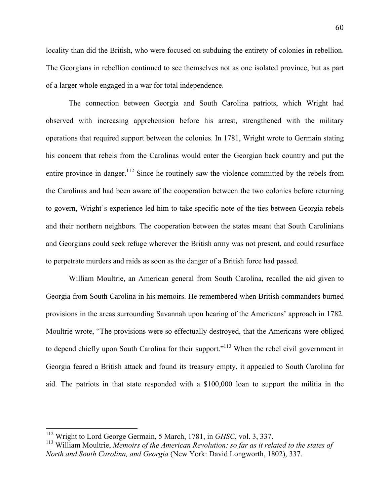locality than did the British, who were focused on subduing the entirety of colonies in rebellion. The Georgians in rebellion continued to see themselves not as one isolated province, but as part of a larger whole engaged in a war for total independence.

The connection between Georgia and South Carolina patriots, which Wright had observed with increasing apprehension before his arrest, strengthened with the military operations that required support between the colonies. In 1781, Wright wrote to Germain stating his concern that rebels from the Carolinas would enter the Georgian back country and put the entire province in danger.<sup>112</sup> Since he routinely saw the violence committed by the rebels from the Carolinas and had been aware of the cooperation between the two colonies before returning to govern, Wright's experience led him to take specific note of the ties between Georgia rebels and their northern neighbors. The cooperation between the states meant that South Carolinians and Georgians could seek refuge wherever the British army was not present, and could resurface to perpetrate murders and raids as soon as the danger of a British force had passed.

William Moultrie, an American general from South Carolina, recalled the aid given to Georgia from South Carolina in his memoirs. He remembered when British commanders burned provisions in the areas surrounding Savannah upon hearing of the Americans' approach in 1782. Moultrie wrote, "The provisions were so effectually destroyed, that the Americans were obliged to depend chiefly upon South Carolina for their support."<sup>113</sup> When the rebel civil government in Georgia feared a British attack and found its treasury empty, it appealed to South Carolina for aid. The patriots in that state responded with a \$100,000 loan to support the militia in the

<sup>&</sup>lt;sup>112</sup> Wright to Lord George Germain, 5 March, 1781, in *GHSC*, vol. 3, 337.

<sup>113</sup> William Moultrie, *Memoirs of the American Revolution: so far as it related to the states of North and South Carolina, and Georgia* (New York: David Longworth, 1802), 337.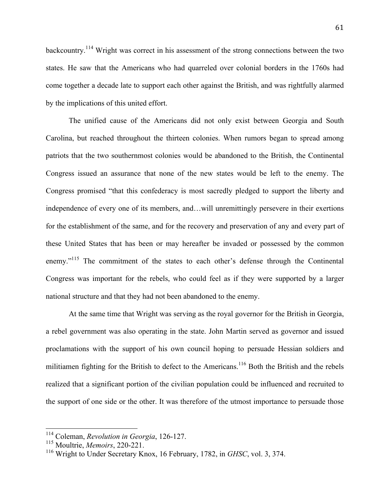backcountry.<sup>114</sup> Wright was correct in his assessment of the strong connections between the two states. He saw that the Americans who had quarreled over colonial borders in the 1760s had come together a decade late to support each other against the British, and was rightfully alarmed by the implications of this united effort.

The unified cause of the Americans did not only exist between Georgia and South Carolina, but reached throughout the thirteen colonies. When rumors began to spread among patriots that the two southernmost colonies would be abandoned to the British, the Continental Congress issued an assurance that none of the new states would be left to the enemy. The Congress promised "that this confederacy is most sacredly pledged to support the liberty and independence of every one of its members, and…will unremittingly persevere in their exertions for the establishment of the same, and for the recovery and preservation of any and every part of these United States that has been or may hereafter be invaded or possessed by the common enemy."<sup>115</sup> The commitment of the states to each other's defense through the Continental Congress was important for the rebels, who could feel as if they were supported by a larger national structure and that they had not been abandoned to the enemy.

At the same time that Wright was serving as the royal governor for the British in Georgia, a rebel government was also operating in the state. John Martin served as governor and issued proclamations with the support of his own council hoping to persuade Hessian soldiers and militiamen fighting for the British to defect to the Americans.<sup>116</sup> Both the British and the rebels realized that a significant portion of the civilian population could be influenced and recruited to the support of one side or the other. It was therefore of the utmost importance to persuade those

<sup>&</sup>lt;sup>114</sup> Coleman, *Revolution in Georgia*, 126-127.

<sup>115</sup> Moultrie, *Memoirs*, 220-221.

<sup>116</sup> Wright to Under Secretary Knox, 16 February, 1782, in *GHSC*, vol. 3, 374.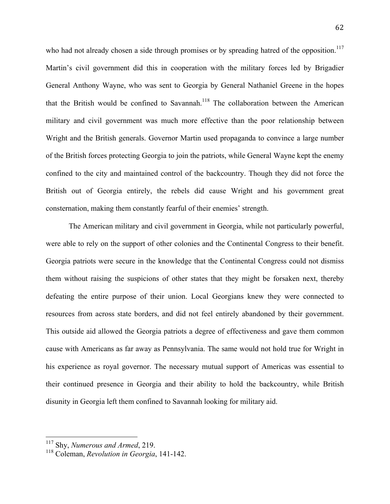who had not already chosen a side through promises or by spreading hatred of the opposition.<sup>117</sup> Martin's civil government did this in cooperation with the military forces led by Brigadier General Anthony Wayne, who was sent to Georgia by General Nathaniel Greene in the hopes that the British would be confined to Savannah. 118 The collaboration between the American military and civil government was much more effective than the poor relationship between Wright and the British generals. Governor Martin used propaganda to convince a large number of the British forces protecting Georgia to join the patriots, while General Wayne kept the enemy confined to the city and maintained control of the backcountry. Though they did not force the British out of Georgia entirely, the rebels did cause Wright and his government great consternation, making them constantly fearful of their enemies' strength.

The American military and civil government in Georgia, while not particularly powerful, were able to rely on the support of other colonies and the Continental Congress to their benefit. Georgia patriots were secure in the knowledge that the Continental Congress could not dismiss them without raising the suspicions of other states that they might be forsaken next, thereby defeating the entire purpose of their union. Local Georgians knew they were connected to resources from across state borders, and did not feel entirely abandoned by their government. This outside aid allowed the Georgia patriots a degree of effectiveness and gave them common cause with Americans as far away as Pennsylvania. The same would not hold true for Wright in his experience as royal governor. The necessary mutual support of Americas was essential to their continued presence in Georgia and their ability to hold the backcountry, while British disunity in Georgia left them confined to Savannah looking for military aid.

<sup>&</sup>lt;sup>117</sup> Shy, *Numerous and Armed*, 219.

<sup>118</sup> Coleman, *Revolution in Georgia*, 141-142.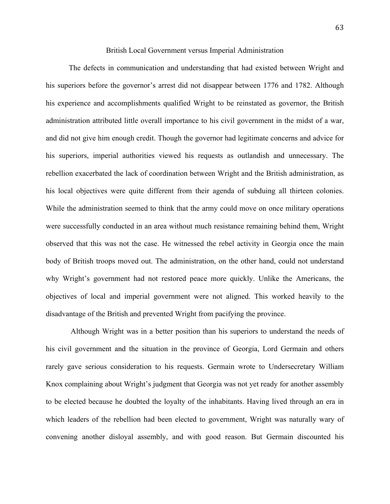### British Local Government versus Imperial Administration

The defects in communication and understanding that had existed between Wright and his superiors before the governor's arrest did not disappear between 1776 and 1782. Although his experience and accomplishments qualified Wright to be reinstated as governor, the British administration attributed little overall importance to his civil government in the midst of a war, and did not give him enough credit. Though the governor had legitimate concerns and advice for his superiors, imperial authorities viewed his requests as outlandish and unnecessary. The rebellion exacerbated the lack of coordination between Wright and the British administration, as his local objectives were quite different from their agenda of subduing all thirteen colonies. While the administration seemed to think that the army could move on once military operations were successfully conducted in an area without much resistance remaining behind them, Wright observed that this was not the case. He witnessed the rebel activity in Georgia once the main body of British troops moved out. The administration, on the other hand, could not understand why Wright's government had not restored peace more quickly. Unlike the Americans, the objectives of local and imperial government were not aligned. This worked heavily to the disadvantage of the British and prevented Wright from pacifying the province.

 Although Wright was in a better position than his superiors to understand the needs of his civil government and the situation in the province of Georgia, Lord Germain and others rarely gave serious consideration to his requests. Germain wrote to Undersecretary William Knox complaining about Wright's judgment that Georgia was not yet ready for another assembly to be elected because he doubted the loyalty of the inhabitants. Having lived through an era in which leaders of the rebellion had been elected to government, Wright was naturally wary of convening another disloyal assembly, and with good reason. But Germain discounted his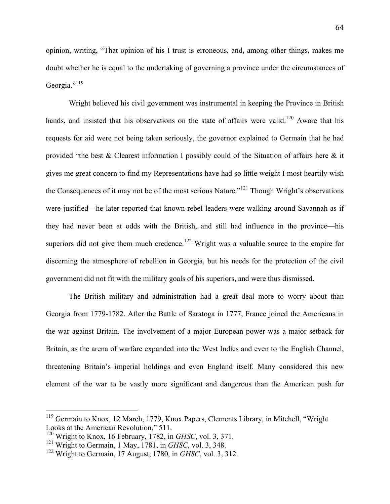opinion, writing, "That opinion of his I trust is erroneous, and, among other things, makes me doubt whether he is equal to the undertaking of governing a province under the circumstances of Georgia."<sup>119</sup>

Wright believed his civil government was instrumental in keeping the Province in British hands, and insisted that his observations on the state of affairs were valid.<sup>120</sup> Aware that his requests for aid were not being taken seriously, the governor explained to Germain that he had provided "the best & Clearest information I possibly could of the Situation of affairs here & it gives me great concern to find my Representations have had so little weight I most heartily wish the Consequences of it may not be of the most serious Nature."<sup>121</sup> Though Wright's observations were justified—he later reported that known rebel leaders were walking around Savannah as if they had never been at odds with the British, and still had influence in the province—his superiors did not give them much credence.<sup>122</sup> Wright was a valuable source to the empire for discerning the atmosphere of rebellion in Georgia, but his needs for the protection of the civil government did not fit with the military goals of his superiors, and were thus dismissed.

The British military and administration had a great deal more to worry about than Georgia from 1779-1782. After the Battle of Saratoga in 1777, France joined the Americans in the war against Britain. The involvement of a major European power was a major setback for Britain, as the arena of warfare expanded into the West Indies and even to the English Channel, threatening Britain's imperial holdings and even England itself. Many considered this new element of the war to be vastly more significant and dangerous than the American push for

<sup>&</sup>lt;sup>119</sup> Germain to Knox, 12 March, 1779, Knox Papers, Clements Library, in Mitchell, "Wright Looks at the American Revolution," 511.

<sup>120</sup> Wright to Knox, 16 February, 1782, in *GHSC*, vol. 3, 371.

<sup>121</sup> Wright to Germain, 1 May, 1781, in *GHSC*, vol. 3, 348.

<sup>122</sup> Wright to Germain, 17 August, 1780, in *GHSC*, vol. 3, 312.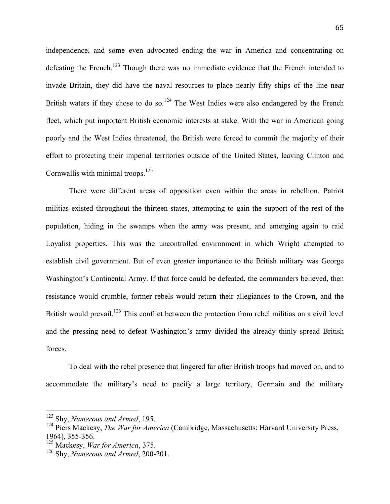independence, and some even advocated ending the war in America and concentrating on defeating the French.<sup>123</sup> Though there was no immediate evidence that the French intended to invade Britain, they did have the naval resources to place nearly fifty ships of the line near British waters if they chose to do so.<sup>124</sup> The West Indies were also endangered by the French fleet, which put important British economic interests at stake. With the war in American going poorly and the West Indies threatened, the British were forced to commit the majority of their effort to protecting their imperial territories outside of the United States, leaving Clinton and Cornwallis with minimal troops.<sup>125</sup>

There were different areas of opposition even within the areas in rebellion. Patriot militias existed throughout the thirteen states, attempting to gain the support of the rest of the population, hiding in the swamps when the army was present, and emerging again to raid Loyalist properties. This was the uncontrolled environment in which Wright attempted to establish civil government. But of even greater importance to the British military was George Washington's Continental Army. If that force could be defeated, the commanders believed, then resistance would crumble, former rebels would return their allegiances to the Crown, and the British would prevail.<sup>126</sup> This conflict between the protection from rebel militias on a civil level and the pressing need to defeat Washington's army divided the already thinly spread British forces.

To deal with the rebel presence that lingered far after British troops had moved on, and to accommodate the military's need to pacify a large territory, Germain and the military

<sup>&</sup>lt;sup>123</sup> Shy, *Numerous and Armed*, 195.

<sup>124</sup> Piers Mackesy, *The War for America* (Cambridge, Massachusetts: Harvard University Press, 1964), 355-356.

<sup>125</sup> Mackesy, *War for America*, 375.

<sup>126</sup> Shy, *Numerous and Armed*, 200-201.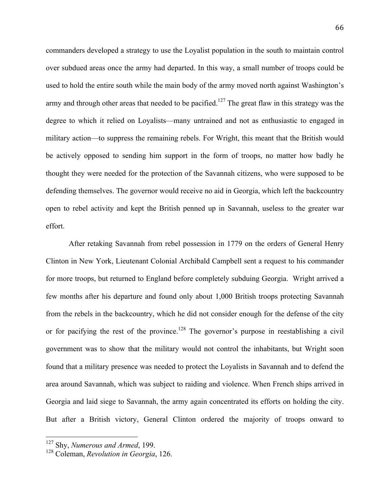commanders developed a strategy to use the Loyalist population in the south to maintain control over subdued areas once the army had departed. In this way, a small number of troops could be used to hold the entire south while the main body of the army moved north against Washington's army and through other areas that needed to be pacified.<sup>127</sup> The great flaw in this strategy was the degree to which it relied on Loyalists—many untrained and not as enthusiastic to engaged in military action—to suppress the remaining rebels. For Wright, this meant that the British would be actively opposed to sending him support in the form of troops, no matter how badly he thought they were needed for the protection of the Savannah citizens, who were supposed to be defending themselves. The governor would receive no aid in Georgia, which left the backcountry open to rebel activity and kept the British penned up in Savannah, useless to the greater war effort.

After retaking Savannah from rebel possession in 1779 on the orders of General Henry Clinton in New York, Lieutenant Colonial Archibald Campbell sent a request to his commander for more troops, but returned to England before completely subduing Georgia. Wright arrived a few months after his departure and found only about 1,000 British troops protecting Savannah from the rebels in the backcountry, which he did not consider enough for the defense of the city or for pacifying the rest of the province.<sup>128</sup> The governor's purpose in reestablishing a civil government was to show that the military would not control the inhabitants, but Wright soon found that a military presence was needed to protect the Loyalists in Savannah and to defend the area around Savannah, which was subject to raiding and violence. When French ships arrived in Georgia and laid siege to Savannah, the army again concentrated its efforts on holding the city. But after a British victory, General Clinton ordered the majority of troops onward to

<sup>&</sup>lt;sup>127</sup> Shy, *Numerous and Armed*, 199.

<sup>128</sup> Coleman, *Revolution in Georgia*, 126.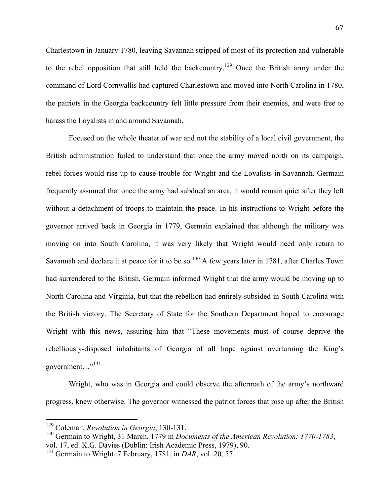Charlestown in January 1780, leaving Savannah stripped of most of its protection and vulnerable to the rebel opposition that still held the backcountry.<sup>129</sup> Once the British army under the command of Lord Cornwallis had captured Charlestown and moved into North Carolina in 1780, the patriots in the Georgia backcountry felt little pressure from their enemies, and were free to harass the Loyalists in and around Savannah.

Focused on the whole theater of war and not the stability of a local civil government, the British administration failed to understand that once the army moved north on its campaign, rebel forces would rise up to cause trouble for Wright and the Loyalists in Savannah. Germain frequently assumed that once the army had subdued an area, it would remain quiet after they left without a detachment of troops to maintain the peace. In his instructions to Wright before the governor arrived back in Georgia in 1779, Germain explained that although the military was moving on into South Carolina, it was very likely that Wright would need only return to Savannah and declare it at peace for it to be so.<sup>130</sup> A few years later in 1781, after Charles Town had surrendered to the British, Germain informed Wright that the army would be moving up to North Carolina and Virginia, but that the rebellion had entirely subsided in South Carolina with the British victory. The Secretary of State for the Southern Department hoped to encourage Wright with this news, assuring him that "These movements must of course deprive the rebelliously-disposed inhabitants of Georgia of all hope against overturning the King's government..."<sup>131</sup>

Wright, who was in Georgia and could observe the aftermath of the army's northward progress, knew otherwise. The governor witnessed the patriot forces that rose up after the British

<sup>&</sup>lt;sup>129</sup> Coleman, *Revolution in Georgia*, 130-131.

<sup>130</sup> Germain to Wright, 31 March, 1779 in *Documents of the American Revolution: 1770-1783*, vol. 17, ed. K.G. Davies (Dublin: Irish Academic Press, 1979), 90.

<sup>&</sup>lt;sup>131</sup> Germain to Wright, 7 February, 1781, in *DAR*, vol. 20, 57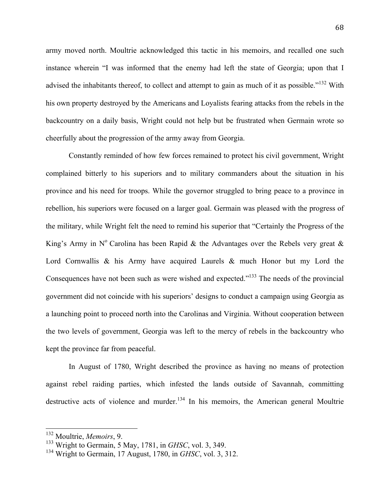army moved north. Moultrie acknowledged this tactic in his memoirs, and recalled one such instance wherein "I was informed that the enemy had left the state of Georgia; upon that I advised the inhabitants thereof, to collect and attempt to gain as much of it as possible."<sup>132</sup> With his own property destroyed by the Americans and Loyalists fearing attacks from the rebels in the backcountry on a daily basis, Wright could not help but be frustrated when Germain wrote so cheerfully about the progression of the army away from Georgia.

Constantly reminded of how few forces remained to protect his civil government, Wright complained bitterly to his superiors and to military commanders about the situation in his province and his need for troops. While the governor struggled to bring peace to a province in rebellion, his superiors were focused on a larger goal. Germain was pleased with the progress of the military, while Wright felt the need to remind his superior that "Certainly the Progress of the King's Army in  $N^{\circ}$  Carolina has been Rapid & the Advantages over the Rebels very great & Lord Cornwallis & his Army have acquired Laurels & much Honor but my Lord the Consequences have not been such as were wished and expected."<sup>133</sup> The needs of the provincial government did not coincide with his superiors' designs to conduct a campaign using Georgia as a launching point to proceed north into the Carolinas and Virginia. Without cooperation between the two levels of government, Georgia was left to the mercy of rebels in the backcountry who kept the province far from peaceful.

In August of 1780, Wright described the province as having no means of protection against rebel raiding parties, which infested the lands outside of Savannah, committing destructive acts of violence and murder.<sup>134</sup> In his memoirs, the American general Moultrie

<sup>&</sup>lt;sup>132</sup> Moultrie, Memoirs, 9.

<sup>133</sup> Wright to Germain, 5 May, 1781, in *GHSC*, vol. 3, 349.

<sup>134</sup> Wright to Germain, 17 August, 1780, in *GHSC*, vol. 3, 312.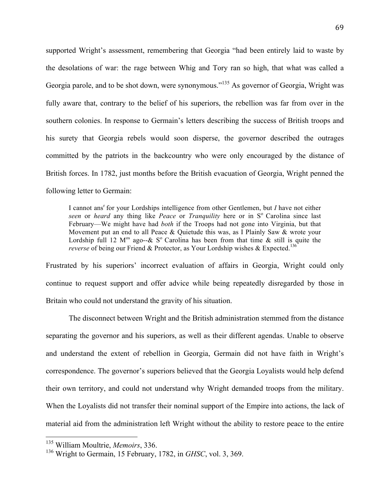supported Wright's assessment, remembering that Georgia "had been entirely laid to waste by the desolations of war: the rage between Whig and Tory ran so high, that what was called a Georgia parole, and to be shot down, were synonymous."<sup>135</sup> As governor of Georgia, Wright was fully aware that, contrary to the belief of his superiors, the rebellion was far from over in the southern colonies. In response to Germain's letters describing the success of British troops and his surety that Georgia rebels would soon disperse, the governor described the outrages committed by the patriots in the backcountry who were only encouraged by the distance of British forces. In 1782, just months before the British evacuation of Georgia, Wright penned the following letter to Germain:

I cannot ansr for your Lordships intelligence from other Gentlemen, but *I* have not either *seen* or *heard* any thing like *Peace* or *Tranquility* here or in S<sup>o</sup> Carolina since last February—We might have had *both* if the Troops had not gone into Virginia, but that Movement put an end to all Peace & Quietude this was, as I Plainly Saw & wrote your Lordship full 12 M<sup>os</sup> ago-- $\&$  S<sup>o</sup> Carolina has been from that time  $\&$  still is quite the *reverse* of being our Friend & Protector, as Your Lordship wishes & Expected. 136

Frustrated by his superiors' incorrect evaluation of affairs in Georgia, Wright could only continue to request support and offer advice while being repeatedly disregarded by those in Britain who could not understand the gravity of his situation.

The disconnect between Wright and the British administration stemmed from the distance separating the governor and his superiors, as well as their different agendas. Unable to observe and understand the extent of rebellion in Georgia, Germain did not have faith in Wright's correspondence. The governor's superiors believed that the Georgia Loyalists would help defend their own territory, and could not understand why Wright demanded troops from the military. When the Loyalists did not transfer their nominal support of the Empire into actions, the lack of material aid from the administration left Wright without the ability to restore peace to the entire

<sup>&</sup>lt;sup>135</sup> William Moultrie, *Memoirs*, 336.

<sup>136</sup> Wright to Germain, 15 February, 1782, in *GHSC*, vol. 3, 369.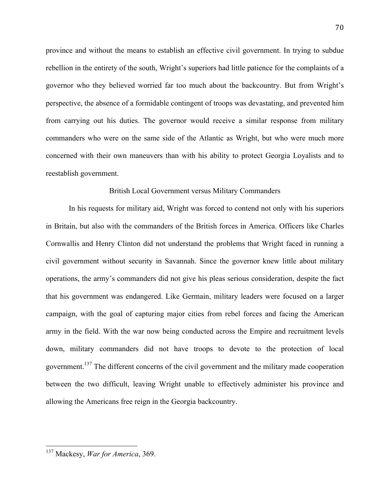province and without the means to establish an effective civil government. In trying to subdue rebellion in the entirety of the south, Wright's superiors had little patience for the complaints of a governor who they believed worried far too much about the backcountry. But from Wright's perspective, the absence of a formidable contingent of troops was devastating, and prevented him from carrying out his duties. The governor would receive a similar response from military commanders who were on the same side of the Atlantic as Wright, but who were much more concerned with their own maneuvers than with his ability to protect Georgia Loyalists and to reestablish government.

### British Local Government versus Military Commanders

In his requests for military aid, Wright was forced to contend not only with his superiors in Britain, but also with the commanders of the British forces in America. Officers like Charles Cornwallis and Henry Clinton did not understand the problems that Wright faced in running a civil government without security in Savannah. Since the governor knew little about military operations, the army's commanders did not give his pleas serious consideration, despite the fact that his government was endangered. Like Germain, military leaders were focused on a larger campaign, with the goal of capturing major cities from rebel forces and facing the American army in the field. With the war now being conducted across the Empire and recruitment levels down, military commanders did not have troops to devote to the protection of local government.<sup>137</sup> The different concerns of the civil government and the military made cooperation between the two difficult, leaving Wright unable to effectively administer his province and allowing the Americans free reign in the Georgia backcountry.

<sup>&</sup>lt;sup>137</sup> Mackesy, *War for America*, 369.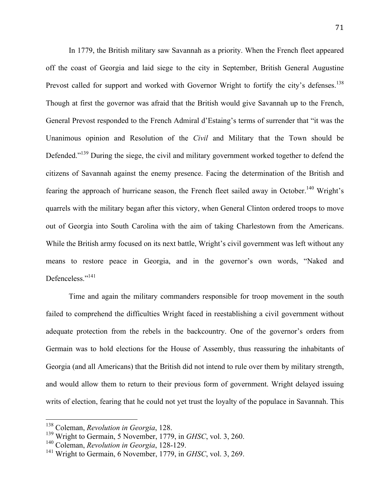In 1779, the British military saw Savannah as a priority. When the French fleet appeared off the coast of Georgia and laid siege to the city in September, British General Augustine Prevost called for support and worked with Governor Wright to fortify the city's defenses.<sup>138</sup> Though at first the governor was afraid that the British would give Savannah up to the French, General Prevost responded to the French Admiral d'Estaing's terms of surrender that "it was the Unanimous opinion and Resolution of the *Civil* and Military that the Town should be Defended."<sup>139</sup> During the siege, the civil and military government worked together to defend the citizens of Savannah against the enemy presence. Facing the determination of the British and fearing the approach of hurricane season, the French fleet sailed away in October.<sup>140</sup> Wright's quarrels with the military began after this victory, when General Clinton ordered troops to move out of Georgia into South Carolina with the aim of taking Charlestown from the Americans. While the British army focused on its next battle, Wright's civil government was left without any means to restore peace in Georgia, and in the governor's own words, "Naked and Defenceless."<sup>141</sup>

Time and again the military commanders responsible for troop movement in the south failed to comprehend the difficulties Wright faced in reestablishing a civil government without adequate protection from the rebels in the backcountry. One of the governor's orders from Germain was to hold elections for the House of Assembly, thus reassuring the inhabitants of Georgia (and all Americans) that the British did not intend to rule over them by military strength, and would allow them to return to their previous form of government. Wright delayed issuing writs of election, fearing that he could not yet trust the loyalty of the populace in Savannah. This

<sup>&</sup>lt;sup>138</sup> Coleman, *Revolution in Georgia*, 128.

<sup>139</sup> Wright to Germain, 5 November, 1779, in *GHSC*, vol. 3, 260.

<sup>140</sup> Coleman, *Revolution in Georgia*, 128-129.

<sup>141</sup> Wright to Germain, 6 November, 1779, in *GHSC*, vol. 3, 269.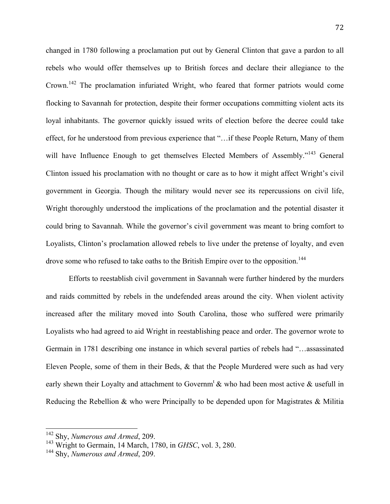changed in 1780 following a proclamation put out by General Clinton that gave a pardon to all rebels who would offer themselves up to British forces and declare their allegiance to the Crown.<sup>142</sup> The proclamation infuriated Wright, who feared that former patriots would come flocking to Savannah for protection, despite their former occupations committing violent acts its loyal inhabitants. The governor quickly issued writs of election before the decree could take effect, for he understood from previous experience that "…if these People Return, Many of them will have Influence Enough to get themselves Elected Members of Assembly."<sup>143</sup> General Clinton issued his proclamation with no thought or care as to how it might affect Wright's civil government in Georgia. Though the military would never see its repercussions on civil life, Wright thoroughly understood the implications of the proclamation and the potential disaster it could bring to Savannah. While the governor's civil government was meant to bring comfort to Loyalists, Clinton's proclamation allowed rebels to live under the pretense of loyalty, and even drove some who refused to take oaths to the British Empire over to the opposition.<sup>144</sup>

Efforts to reestablish civil government in Savannah were further hindered by the murders and raids committed by rebels in the undefended areas around the city. When violent activity increased after the military moved into South Carolina, those who suffered were primarily Loyalists who had agreed to aid Wright in reestablishing peace and order. The governor wrote to Germain in 1781 describing one instance in which several parties of rebels had "…assassinated Eleven People, some of them in their Beds, & that the People Murdered were such as had very early shewn their Loyalty and attachment to Governm<sup>t</sup>  $\&$  who had been most active  $\&$  usefull in Reducing the Rebellion & who were Principally to be depended upon for Magistrates & Militia

<sup>&</sup>lt;sup>142</sup> Shy, *Numerous and Armed*, 209.

<sup>143</sup> Wright to Germain, 14 March, 1780, in *GHSC*, vol. 3, 280.

<sup>144</sup> Shy, *Numerous and Armed*, 209.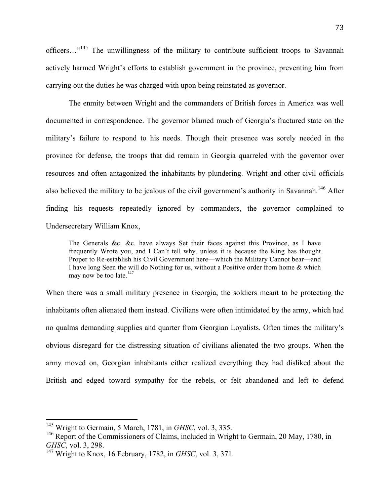officers..."<sup>145</sup> The unwillingness of the military to contribute sufficient troops to Savannah actively harmed Wright's efforts to establish government in the province, preventing him from carrying out the duties he was charged with upon being reinstated as governor.

The enmity between Wright and the commanders of British forces in America was well documented in correspondence. The governor blamed much of Georgia's fractured state on the military's failure to respond to his needs. Though their presence was sorely needed in the province for defense, the troops that did remain in Georgia quarreled with the governor over resources and often antagonized the inhabitants by plundering. Wright and other civil officials also believed the military to be jealous of the civil government's authority in Savannah.<sup>146</sup> After finding his requests repeatedly ignored by commanders, the governor complained to Undersecretary William Knox,

The Generals &c. &c. have always Set their faces against this Province, as I have frequently Wrote you, and I Can't tell why, unless it is because the King has thought Proper to Re-establish his Civil Government here—which the Military Cannot bear—and I have long Seen the will do Nothing for us, without a Positive order from home & which may now be too late.<sup>147</sup>

When there was a small military presence in Georgia, the soldiers meant to be protecting the inhabitants often alienated them instead. Civilians were often intimidated by the army, which had no qualms demanding supplies and quarter from Georgian Loyalists. Often times the military's obvious disregard for the distressing situation of civilians alienated the two groups. When the army moved on, Georgian inhabitants either realized everything they had disliked about the British and edged toward sympathy for the rebels, or felt abandoned and left to defend

<sup>&</sup>lt;sup>145</sup> Wright to Germain, 5 March, 1781, in *GHSC*, vol. 3, 335.

<sup>&</sup>lt;sup>146</sup> Report of the Commissioners of Claims, included in Wright to Germain, 20 May, 1780, in *GHSC*, vol. 3, 298.

<sup>147</sup> Wright to Knox, 16 February, 1782, in *GHSC*, vol. 3, 371.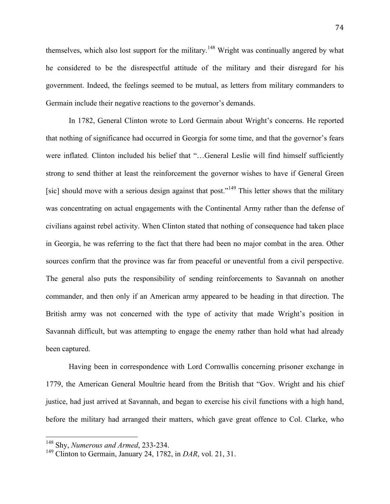themselves, which also lost support for the military.<sup>148</sup> Wright was continually angered by what he considered to be the disrespectful attitude of the military and their disregard for his government. Indeed, the feelings seemed to be mutual, as letters from military commanders to Germain include their negative reactions to the governor's demands.

In 1782, General Clinton wrote to Lord Germain about Wright's concerns. He reported that nothing of significance had occurred in Georgia for some time, and that the governor's fears were inflated. Clinton included his belief that "...General Leslie will find himself sufficiently strong to send thither at least the reinforcement the governor wishes to have if General Green [sic] should move with a serious design against that post."<sup>149</sup> This letter shows that the military was concentrating on actual engagements with the Continental Army rather than the defense of civilians against rebel activity. When Clinton stated that nothing of consequence had taken place in Georgia, he was referring to the fact that there had been no major combat in the area. Other sources confirm that the province was far from peaceful or uneventful from a civil perspective. The general also puts the responsibility of sending reinforcements to Savannah on another commander, and then only if an American army appeared to be heading in that direction. The British army was not concerned with the type of activity that made Wright's position in Savannah difficult, but was attempting to engage the enemy rather than hold what had already been captured.

Having been in correspondence with Lord Cornwallis concerning prisoner exchange in 1779, the American General Moultrie heard from the British that "Gov. Wright and his chief justice, had just arrived at Savannah, and began to exercise his civil functions with a high hand, before the military had arranged their matters, which gave great offence to Col. Clarke, who

<sup>&</sup>lt;sup>148</sup> Shy, *Numerous and Armed*, 233-234.

<sup>149</sup> Clinton to Germain, January 24, 1782, in *DAR*, vol. 21, 31.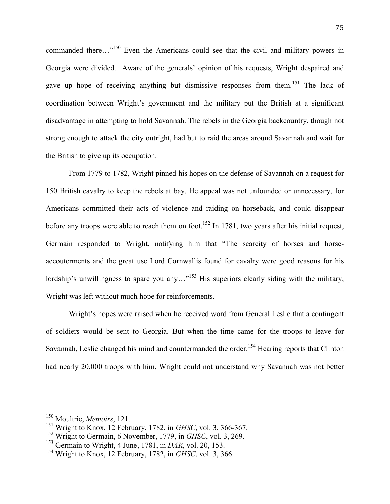commanded there..."<sup>150</sup> Even the Americans could see that the civil and military powers in Georgia were divided. Aware of the generals' opinion of his requests, Wright despaired and gave up hope of receiving anything but dismissive responses from them.<sup>151</sup> The lack of coordination between Wright's government and the military put the British at a significant disadvantage in attempting to hold Savannah. The rebels in the Georgia backcountry, though not strong enough to attack the city outright, had but to raid the areas around Savannah and wait for the British to give up its occupation.

From 1779 to 1782, Wright pinned his hopes on the defense of Savannah on a request for 150 British cavalry to keep the rebels at bay. He appeal was not unfounded or unnecessary, for Americans committed their acts of violence and raiding on horseback, and could disappear before any troops were able to reach them on foot.<sup>152</sup> In 1781, two years after his initial request, Germain responded to Wright, notifying him that "The scarcity of horses and horseaccouterments and the great use Lord Cornwallis found for cavalry were good reasons for his lordship's unwillingness to spare you any..."<sup>153</sup> His superiors clearly siding with the military, Wright was left without much hope for reinforcements.

Wright's hopes were raised when he received word from General Leslie that a contingent of soldiers would be sent to Georgia. But when the time came for the troops to leave for Savannah, Leslie changed his mind and countermanded the order.<sup>154</sup> Hearing reports that Clinton had nearly 20,000 troops with him, Wright could not understand why Savannah was not better

<sup>&</sup>lt;sup>150</sup> Moultrie, *Memoirs*, 121.

<sup>151</sup> Wright to Knox, 12 February, 1782, in *GHSC*, vol. 3, 366-367.

<sup>152</sup> Wright to Germain, 6 November, 1779, in *GHSC*, vol. 3, 269.

<sup>153</sup> Germain to Wright, 4 June, 1781, in *DAR*, vol. 20, 153.

<sup>154</sup> Wright to Knox, 12 February, 1782, in *GHSC*, vol. 3, 366.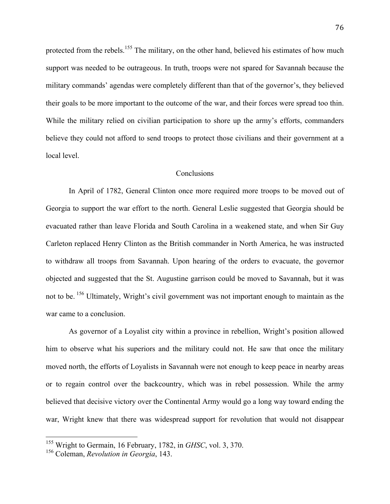protected from the rebels.<sup>155</sup> The military, on the other hand, believed his estimates of how much support was needed to be outrageous. In truth, troops were not spared for Savannah because the military commands' agendas were completely different than that of the governor's, they believed their goals to be more important to the outcome of the war, and their forces were spread too thin. While the military relied on civilian participation to shore up the army's efforts, commanders believe they could not afford to send troops to protect those civilians and their government at a local level.

## **Conclusions**

In April of 1782, General Clinton once more required more troops to be moved out of Georgia to support the war effort to the north. General Leslie suggested that Georgia should be evacuated rather than leave Florida and South Carolina in a weakened state, and when Sir Guy Carleton replaced Henry Clinton as the British commander in North America, he was instructed to withdraw all troops from Savannah. Upon hearing of the orders to evacuate, the governor objected and suggested that the St. Augustine garrison could be moved to Savannah, but it was not to be. <sup>156</sup> Ultimately, Wright's civil government was not important enough to maintain as the war came to a conclusion.

As governor of a Loyalist city within a province in rebellion, Wright's position allowed him to observe what his superiors and the military could not. He saw that once the military moved north, the efforts of Loyalists in Savannah were not enough to keep peace in nearby areas or to regain control over the backcountry, which was in rebel possession. While the army believed that decisive victory over the Continental Army would go a long way toward ending the war, Wright knew that there was widespread support for revolution that would not disappear

<sup>&</sup>lt;sup>155</sup> Wright to Germain, 16 February, 1782, in *GHSC*, vol. 3, 370.

<sup>156</sup> Coleman, *Revolution in Georgia*, 143.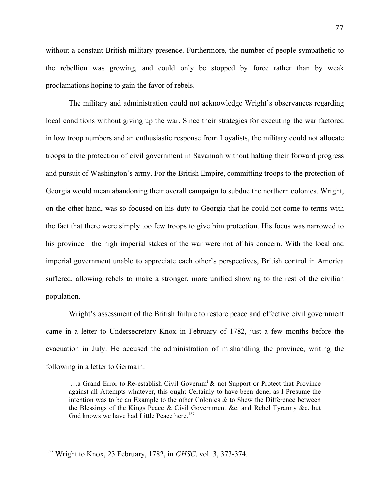without a constant British military presence. Furthermore, the number of people sympathetic to the rebellion was growing, and could only be stopped by force rather than by weak proclamations hoping to gain the favor of rebels.

The military and administration could not acknowledge Wright's observances regarding local conditions without giving up the war. Since their strategies for executing the war factored in low troop numbers and an enthusiastic response from Loyalists, the military could not allocate troops to the protection of civil government in Savannah without halting their forward progress and pursuit of Washington's army. For the British Empire, committing troops to the protection of Georgia would mean abandoning their overall campaign to subdue the northern colonies. Wright, on the other hand, was so focused on his duty to Georgia that he could not come to terms with the fact that there were simply too few troops to give him protection. His focus was narrowed to his province—the high imperial stakes of the war were not of his concern. With the local and imperial government unable to appreciate each other's perspectives, British control in America suffered, allowing rebels to make a stronger, more unified showing to the rest of the civilian population.

Wright's assessment of the British failure to restore peace and effective civil government came in a letter to Undersecretary Knox in February of 1782, just a few months before the evacuation in July. He accused the administration of mishandling the province, writing the following in a letter to Germain:

...a Grand Error to Re-establish Civil Governm<sup>t</sup> & not Support or Protect that Province against all Attempts whatever, this ought Certainly to have been done, as I Presume the intention was to be an Example to the other Colonies  $\&$  to Shew the Difference between the Blessings of the Kings Peace & Civil Government &c. and Rebel Tyranny &c. but God knows we have had Little Peace here.<sup>157</sup>

<sup>&</sup>lt;sup>157</sup> Wright to Knox, 23 February, 1782, in *GHSC*, vol. 3, 373-374.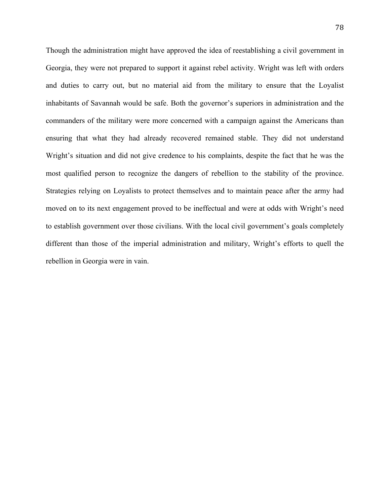Though the administration might have approved the idea of reestablishing a civil government in Georgia, they were not prepared to support it against rebel activity. Wright was left with orders and duties to carry out, but no material aid from the military to ensure that the Loyalist inhabitants of Savannah would be safe. Both the governor's superiors in administration and the commanders of the military were more concerned with a campaign against the Americans than ensuring that what they had already recovered remained stable. They did not understand Wright's situation and did not give credence to his complaints, despite the fact that he was the most qualified person to recognize the dangers of rebellion to the stability of the province. Strategies relying on Loyalists to protect themselves and to maintain peace after the army had moved on to its next engagement proved to be ineffectual and were at odds with Wright's need to establish government over those civilians. With the local civil government's goals completely different than those of the imperial administration and military, Wright's efforts to quell the rebellion in Georgia were in vain.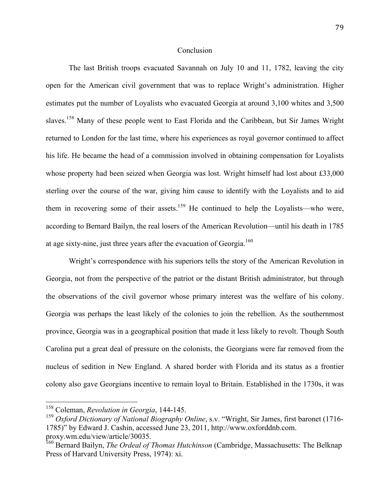## **Conclusion**

The last British troops evacuated Savannah on July 10 and 11, 1782, leaving the city open for the American civil government that was to replace Wright's administration. Higher estimates put the number of Loyalists who evacuated Georgia at around 3,100 whites and 3,500 slaves.<sup>158</sup> Many of these people went to East Florida and the Caribbean, but Sir James Wright returned to London for the last time, where his experiences as royal governor continued to affect his life. He became the head of a commission involved in obtaining compensation for Loyalists whose property had been seized when Georgia was lost. Wright himself had lost about £33,000 sterling over the course of the war, giving him cause to identify with the Loyalists and to aid them in recovering some of their assets.<sup>159</sup> He continued to help the Loyalists—who were, according to Bernard Bailyn, the real losers of the American Revolution—until his death in 1785 at age sixty-nine, just three years after the evacuation of Georgia.<sup>160</sup>

Wright's correspondence with his superiors tells the story of the American Revolution in Georgia, not from the perspective of the patriot or the distant British administrator, but through the observations of the civil governor whose primary interest was the welfare of his colony. Georgia was perhaps the least likely of the colonies to join the rebellion. As the southernmost province, Georgia was in a geographical position that made it less likely to revolt. Though South Carolina put a great deal of pressure on the colonists, the Georgians were far removed from the nucleus of sedition in New England. A shared border with Florida and its status as a frontier colony also gave Georgians incentive to remain loyal to Britain. Established in the 1730s, it was

<sup>&</sup>lt;sup>158</sup> Coleman, *Revolution in Georgia*, 144-145.

<sup>&</sup>lt;sup>159</sup> Oxford Dictionary of National Biography Online, s.v. "Wright, Sir James, first baronet (1716-1785)" by Edward J. Cashin, accessed June 23, 2011, http://www.oxforddnb.com. proxy.wm.edu/view/article/30035.

<sup>160</sup> Bernard Bailyn, *The Ordeal of Thomas Hutchinson* (Cambridge, Massachusetts: The Belknap Press of Harvard University Press, 1974): xi.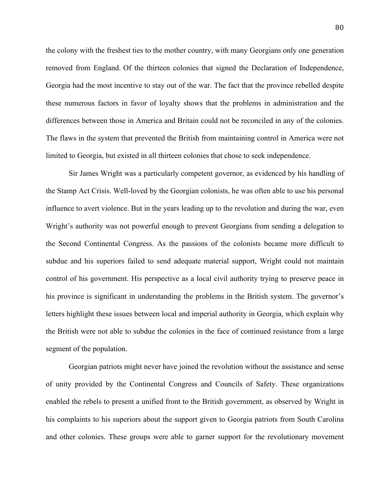the colony with the freshest ties to the mother country, with many Georgians only one generation removed from England. Of the thirteen colonies that signed the Declaration of Independence, Georgia had the most incentive to stay out of the war. The fact that the province rebelled despite these numerous factors in favor of loyalty shows that the problems in administration and the differences between those in America and Britain could not be reconciled in any of the colonies. The flaws in the system that prevented the British from maintaining control in America were not limited to Georgia, but existed in all thirteen colonies that chose to seek independence.

Sir James Wright was a particularly competent governor, as evidenced by his handling of the Stamp Act Crisis. Well-loved by the Georgian colonists, he was often able to use his personal influence to avert violence. But in the years leading up to the revolution and during the war, even Wright's authority was not powerful enough to prevent Georgians from sending a delegation to the Second Continental Congress. As the passions of the colonists became more difficult to subdue and his superiors failed to send adequate material support, Wright could not maintain control of his government. His perspective as a local civil authority trying to preserve peace in his province is significant in understanding the problems in the British system. The governor's letters highlight these issues between local and imperial authority in Georgia, which explain why the British were not able to subdue the colonies in the face of continued resistance from a large segment of the population.

Georgian patriots might never have joined the revolution without the assistance and sense of unity provided by the Continental Congress and Councils of Safety. These organizations enabled the rebels to present a unified front to the British government, as observed by Wright in his complaints to his superiors about the support given to Georgia patriots from South Carolina and other colonies. These groups were able to garner support for the revolutionary movement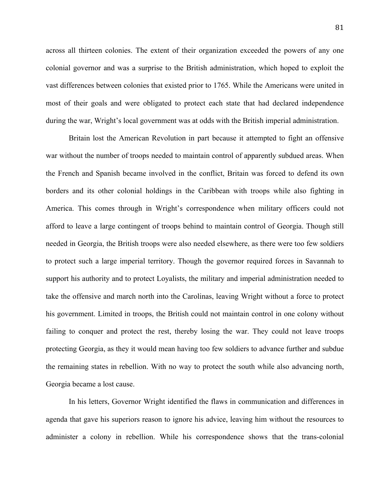across all thirteen colonies. The extent of their organization exceeded the powers of any one colonial governor and was a surprise to the British administration, which hoped to exploit the vast differences between colonies that existed prior to 1765. While the Americans were united in most of their goals and were obligated to protect each state that had declared independence during the war, Wright's local government was at odds with the British imperial administration.

Britain lost the American Revolution in part because it attempted to fight an offensive war without the number of troops needed to maintain control of apparently subdued areas. When the French and Spanish became involved in the conflict, Britain was forced to defend its own borders and its other colonial holdings in the Caribbean with troops while also fighting in America. This comes through in Wright's correspondence when military officers could not afford to leave a large contingent of troops behind to maintain control of Georgia. Though still needed in Georgia, the British troops were also needed elsewhere, as there were too few soldiers to protect such a large imperial territory. Though the governor required forces in Savannah to support his authority and to protect Loyalists, the military and imperial administration needed to take the offensive and march north into the Carolinas, leaving Wright without a force to protect his government. Limited in troops, the British could not maintain control in one colony without failing to conquer and protect the rest, thereby losing the war. They could not leave troops protecting Georgia, as they it would mean having too few soldiers to advance further and subdue the remaining states in rebellion. With no way to protect the south while also advancing north, Georgia became a lost cause.

In his letters, Governor Wright identified the flaws in communication and differences in agenda that gave his superiors reason to ignore his advice, leaving him without the resources to administer a colony in rebellion. While his correspondence shows that the trans-colonial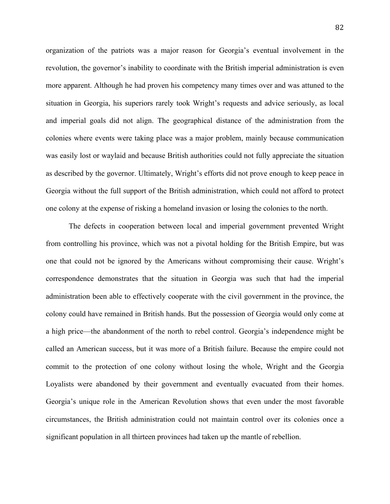organization of the patriots was a major reason for Georgia's eventual involvement in the revolution, the governor's inability to coordinate with the British imperial administration is even more apparent. Although he had proven his competency many times over and was attuned to the situation in Georgia, his superiors rarely took Wright's requests and advice seriously, as local and imperial goals did not align. The geographical distance of the administration from the colonies where events were taking place was a major problem, mainly because communication was easily lost or waylaid and because British authorities could not fully appreciate the situation as described by the governor. Ultimately, Wright's efforts did not prove enough to keep peace in Georgia without the full support of the British administration, which could not afford to protect one colony at the expense of risking a homeland invasion or losing the colonies to the north.

The defects in cooperation between local and imperial government prevented Wright from controlling his province, which was not a pivotal holding for the British Empire, but was one that could not be ignored by the Americans without compromising their cause. Wright's correspondence demonstrates that the situation in Georgia was such that had the imperial administration been able to effectively cooperate with the civil government in the province, the colony could have remained in British hands. But the possession of Georgia would only come at a high price—the abandonment of the north to rebel control. Georgia's independence might be called an American success, but it was more of a British failure. Because the empire could not commit to the protection of one colony without losing the whole, Wright and the Georgia Loyalists were abandoned by their government and eventually evacuated from their homes. Georgia's unique role in the American Revolution shows that even under the most favorable circumstances, the British administration could not maintain control over its colonies once a significant population in all thirteen provinces had taken up the mantle of rebellion.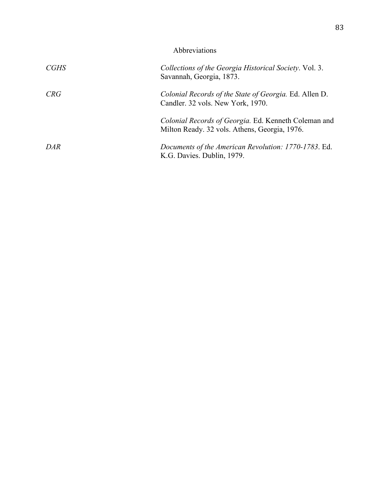| Abbreviations |                                                                                                       |
|---------------|-------------------------------------------------------------------------------------------------------|
| CGHS          | Collections of the Georgia Historical Society. Vol. 3.<br>Savannah, Georgia, 1873.                    |
| CRG           | Colonial Records of the State of Georgia. Ed. Allen D.<br>Candler. 32 vols. New York, 1970.           |
|               | Colonial Records of Georgia. Ed. Kenneth Coleman and<br>Milton Ready. 32 vols. Athens, Georgia, 1976. |
| DAR           | Documents of the American Revolution: 1770-1783. Ed.<br>K.G. Davies. Dublin, 1979.                    |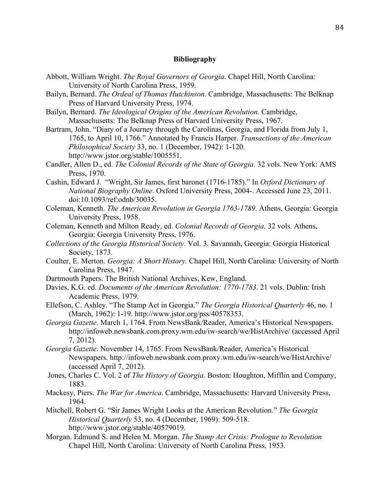## **Bibliography**

- Abbott, William Wright. *The Royal Governors of Georgia*. Chapel Hill, North Carolina: University of North Carolina Press, 1959.
- Bailyn, Bernard. *The Ordeal of Thomas Hutchinson*. Cambridge, Massachusetts: The Belknap Press of Harvard University Press, 1974.
- Bailyn, Bernard. *The Ideological Origins of the American Revolution.* Cambridge, Massachusetts: The Belknap Press of Harvard University Press, 1967.
- Bartram, John. "Diary of a Journey through the Carolinas, Georgia, and Florida from July 1, 1765, to April 10, 1766." Annotated by Francis Harper. *Transactions of the American Philosophical Society* 33, no. 1 (December, 1942): 1-120. http://www.jstor.org/stable/1005551.
- Candler, Allen D., ed. *The Colonial Records of the State of Georgia*. 32 vols. New York: AMS Press, 1970.
- Cashin, Edward J. "Wright, Sir James, first baronet (1716-1785)." In *Oxford Dictionary of National Biography Online*. Oxford University Press, 2004-. Accessed June 23, 2011. doi:10.1093/ref:odnb/30035.
- Coleman, Kenneth. *The American Revolution in Georgia 1763-1789*. Athens, Georgia: Georgia University Press, 1958.
- Coleman, Kenneth and Milton Ready, ed. *Colonial Records of Georgia*. 32 vols. Athens, Georgia: Georgia University Press, 1976.
- *Collections of the Georgia Historical Society*. Vol. 3. Savannah, Georgia: Georgia Historical Society, 1873.
- Coulter, E. Merton. *Georgia: A Short History.* Chapel Hill, North Carolina: University of North Carolina Press, 1947.
- Dartmouth Papers. The British National Archives, Kew, England.
- Davies, K.G. ed. *Documents of the American Revolution: 1770-1783*. 21 vols. Dublin: Irish Academic Press, 1979.
- Ellefson, C. Ashley. "The Stamp Act in Georgia." *The Georgia Historical Quarterly* 46, no. 1 (March, 1962): 1-19. http://www.jstor.org/pss/40578353.
- *Georgia Gazette*. March 1, 1764. From NewsBank/Reader, America's Historical Newspapers. http://infoweb.newsbank.com.proxy.wm.edu/iw-search/we/HistArchive/ (accessed April 7, 2012).
- *Georgia Gazette*. November 14, 1765. From NewsBank/Reader, America's Historical Newspapers. http://infoweb.newsbank.com.proxy.wm.edu/iw-search/we/HistArchive/ (accessed April 7, 2012).
- Jones, Charles C. Vol. 2 of *The History of Georgia*. Boston: Houghton, Mifflin and Company, 1883.
- Mackesy, Piers. *The War for America*. Cambridge, Massachusetts: Harvard University Press, 1964.
- Mitchell, Robert G. "Sir James Wright Looks at the American Revolution." *The Georgia Historical Quarterly* 53, no. 4 (December, 1969): 509-518. http://www.jstor.org/stable/40579019.
- Morgan. Edmund S. and Helen M. Morgan. *The Stamp Act Crisis: Prologue to Revolution* Chapel Hill, North Carolina: University of North Carolina Press, 1953.